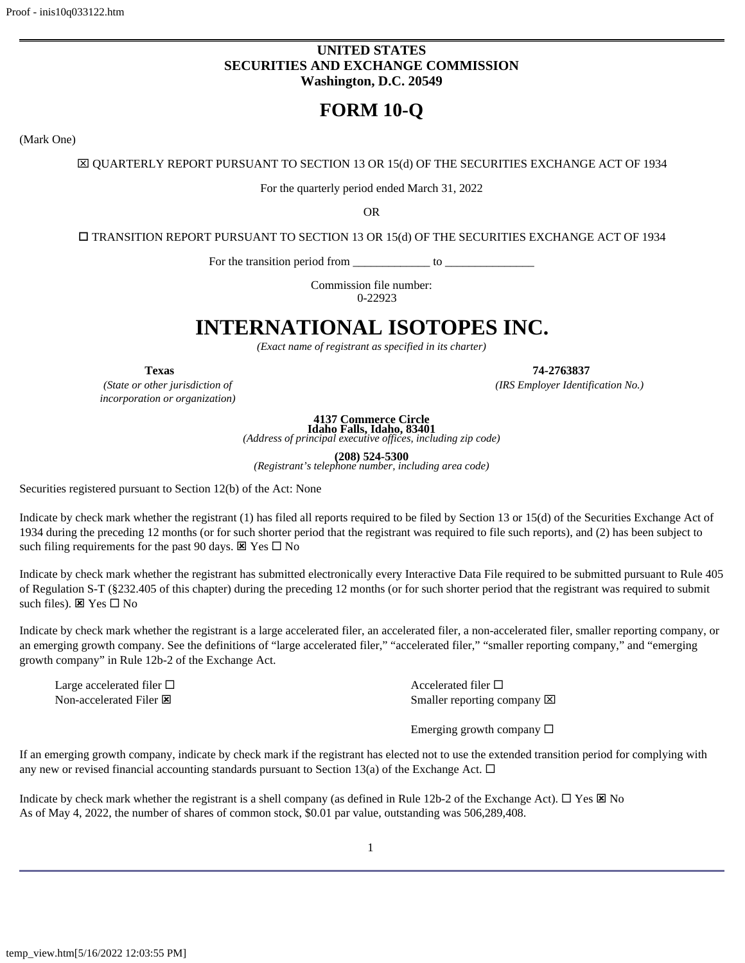# **UNITED STATES SECURITIES AND EXCHANGE COMMISSION Washington, D.C. 20549**

# **FORM 10-Q**

<span id="page-0-0"></span>(Mark One)

x QUARTERLY REPORT PURSUANT TO SECTION 13 OR 15(d) OF THE SECURITIES EXCHANGE ACT OF 1934

For the quarterly period ended March 31, 2022

OR

o TRANSITION REPORT PURSUANT TO SECTION 13 OR 15(d) OF THE SECURITIES EXCHANGE ACT OF 1934

For the transition period from  $\frac{\ }{\ }$  to  $\frac{\ }{\ }$ 

Commission file number: 0-22923

# **INTERNATIONAL ISOTOPES INC.**

*(Exact name of registrant as specified in its charter)*

*(State or other jurisdiction of incorporation or organization)*

**Texas 74-2763837**

*(IRS Employer Identification No.)*

**4137 Commerce Circle**

**Idaho Falls, Idaho, 83401** *(Address of principal executive offices, including zip code)*

**(208) 524-5300** *(Registrant's telephone number, including area code)*

Securities registered pursuant to Section 12(b) of the Act: None

Indicate by check mark whether the registrant (1) has filed all reports required to be filed by Section 13 or 15(d) of the Securities Exchange Act of 1934 during the preceding 12 months (or for such shorter period that the registrant was required to file such reports), and (2) has been subject to such filing requirements for the past 90 days.  $\boxtimes$  Yes  $\square$  No

Indicate by check mark whether the registrant has submitted electronically every Interactive Data File required to be submitted pursuant to Rule 405 of Regulation S-T (§232.405 of this chapter) during the preceding 12 months (or for such shorter period that the registrant was required to submit such files).  $\boxtimes$  Yes  $\square$  No

Indicate by check mark whether the registrant is a large accelerated filer, an accelerated filer, a non-accelerated filer, smaller reporting company, or an emerging growth company. See the definitions of "large accelerated filer," "accelerated filer," "smaller reporting company," and "emerging growth company" in Rule 12b-2 of the Exchange Act.

Large accelerated filer  $\square$ 

Non-accelerated Filer  $\boxtimes$  Smaller reporting company  $\boxtimes$ 

Emerging growth company  $\square$ 

If an emerging growth company, indicate by check mark if the registrant has elected not to use the extended transition period for complying with any new or revised financial accounting standards pursuant to Section 13(a) of the Exchange Act.  $\Box$ 

Indicate by check mark whether the registrant is a shell company (as defined in Rule 12b-2 of the Exchange Act).  $\Box$  Yes  $\boxtimes$  No As of May 4, 2022, the number of shares of common stock, \$0.01 par value, outstanding was 506,289,408.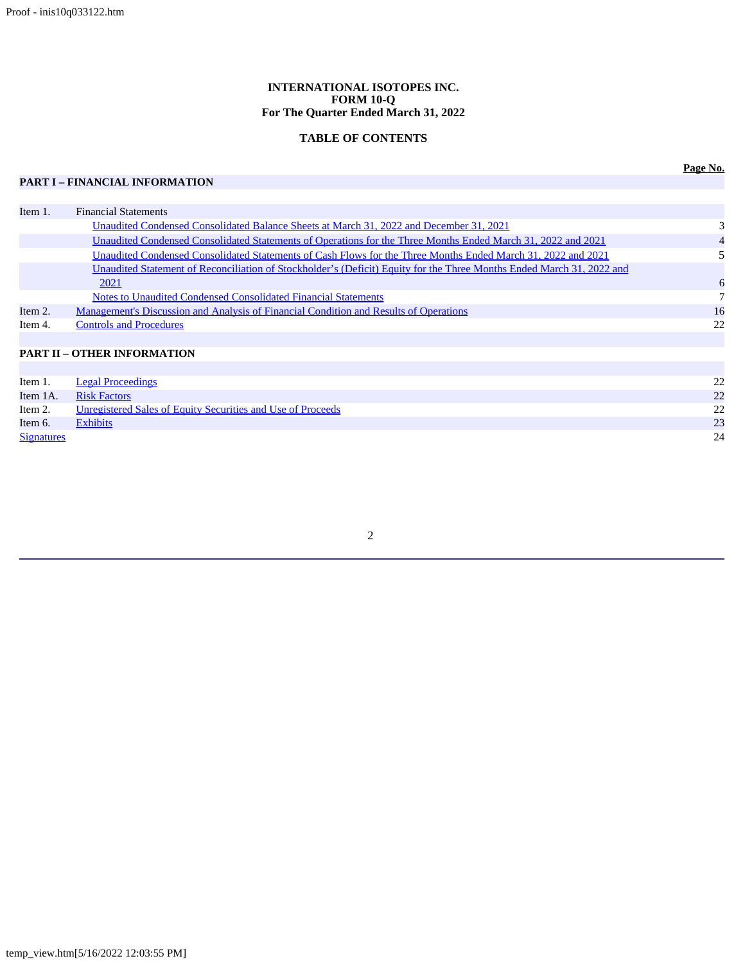# **INTERNATIONAL ISOTOPES INC. FORM 10-Q For The Quarter Ended March 31, 2022**

# **TABLE OF CONTENTS**

# **PART I – FINANCIAL INFORMATION**

| Item 1. | <b>Financial Statements</b>                                                                                           |    |
|---------|-----------------------------------------------------------------------------------------------------------------------|----|
|         | Unaudited Condensed Consolidated Balance Sheets at March 31, 2022 and December 31, 2021                               |    |
|         | Unaudited Condensed Consolidated Statements of Operations for the Three Months Ended March 31, 2022 and 2021          |    |
|         | Unaudited Condensed Consolidated Statements of Cash Flows for the Three Months Ended March 31, 2022 and 2021          |    |
|         | Unaudited Statement of Reconciliation of Stockholder's (Deficit) Equity for the Three Months Ended March 31, 2022 and |    |
|         | 2021                                                                                                                  | 6  |
|         | <b>Notes to Unaudited Condensed Consolidated Financial Statements</b>                                                 |    |
| Item 2. | <u>Management's Discussion and Analysis of Financial Condition and Results of Operations</u>                          | 16 |
| Item 4. | <b>Controls and Procedures</b>                                                                                        | 22 |
|         |                                                                                                                       |    |
|         | <b>PART II - OTHER INFORMATION</b>                                                                                    |    |
|         |                                                                                                                       |    |

|                   | Item 1. Legal Proceedings                                           |    |
|-------------------|---------------------------------------------------------------------|----|
|                   | Item 1A. Risk Factors                                               | 22 |
|                   | Item 2. Unregistered Sales of Equity Securities and Use of Proceeds | 22 |
| Item 6.           | <b>Exhibits</b>                                                     | 23 |
| <b>Signatures</b> |                                                                     | 24 |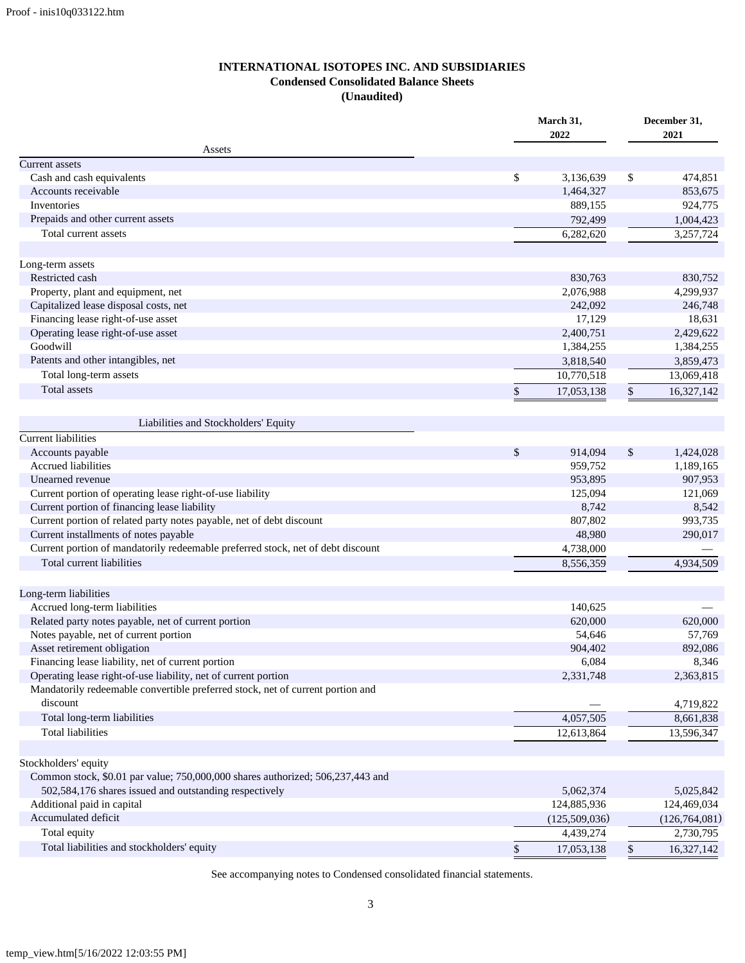# **INTERNATIONAL ISOTOPES INC. AND SUBSIDIARIES Condensed Consolidated Balance Sheets (Unaudited)**

<span id="page-2-0"></span>

|                                                                                                                                          |      | March 31,     |    | December 31,    |  |
|------------------------------------------------------------------------------------------------------------------------------------------|------|---------------|----|-----------------|--|
|                                                                                                                                          |      | 2022          |    | 2021            |  |
| Assets<br><b>Current</b> assets                                                                                                          |      |               |    |                 |  |
| Cash and cash equivalents                                                                                                                | \$   | 3,136,639     | \$ | 474,851         |  |
| Accounts receivable                                                                                                                      |      | 1,464,327     |    | 853,675         |  |
| Inventories                                                                                                                              |      | 889,155       |    | 924,775         |  |
| Prepaids and other current assets                                                                                                        |      | 792,499       |    | 1,004,423       |  |
| Total current assets                                                                                                                     |      | 6,282,620     |    | 3,257,724       |  |
|                                                                                                                                          |      |               |    |                 |  |
| Long-term assets                                                                                                                         |      |               |    |                 |  |
| Restricted cash                                                                                                                          |      | 830,763       |    | 830,752         |  |
| Property, plant and equipment, net                                                                                                       |      | 2,076,988     |    | 4,299,937       |  |
| Capitalized lease disposal costs, net                                                                                                    |      | 242,092       |    | 246,748         |  |
| Financing lease right-of-use asset                                                                                                       |      | 17,129        |    | 18,631          |  |
| Operating lease right-of-use asset                                                                                                       |      | 2,400,751     |    | 2,429,622       |  |
| Goodwill                                                                                                                                 |      | 1,384,255     |    | 1,384,255       |  |
| Patents and other intangibles, net                                                                                                       |      | 3,818,540     |    | 3,859,473       |  |
| Total long-term assets                                                                                                                   |      | 10,770,518    |    | 13,069,418      |  |
| Total assets                                                                                                                             | $\$$ | 17,053,138    | \$ | 16,327,142      |  |
|                                                                                                                                          |      |               |    |                 |  |
| Liabilities and Stockholders' Equity<br><b>Current liabilities</b>                                                                       |      |               |    |                 |  |
| Accounts payable                                                                                                                         | \$   | 914,094       | \$ | 1,424,028       |  |
| Accrued liabilities                                                                                                                      |      | 959,752       |    | 1,189,165       |  |
| Unearned revenue                                                                                                                         |      | 953,895       |    | 907,953         |  |
| Current portion of operating lease right-of-use liability                                                                                |      | 125,094       |    | 121,069         |  |
| Current portion of financing lease liability                                                                                             |      | 8,742         |    | 8,542           |  |
| Current portion of related party notes payable, net of debt discount                                                                     |      | 807,802       |    | 993,735         |  |
| Current installments of notes payable                                                                                                    |      | 48,980        |    | 290,017         |  |
| Current portion of mandatorily redeemable preferred stock, net of debt discount                                                          |      | 4,738,000     |    |                 |  |
| Total current liabilities                                                                                                                |      | 8,556,359     |    | 4,934,509       |  |
|                                                                                                                                          |      |               |    |                 |  |
| Long-term liabilities                                                                                                                    |      |               |    |                 |  |
| Accrued long-term liabilities                                                                                                            |      | 140,625       |    |                 |  |
| Related party notes payable, net of current portion                                                                                      |      | 620,000       |    | 620,000         |  |
| Notes payable, net of current portion                                                                                                    |      | 54,646        |    | 57,769          |  |
| Asset retirement obligation                                                                                                              |      | 904,402       |    | 892,086         |  |
| Financing lease liability, net of current portion                                                                                        |      | 6,084         |    | 8,346           |  |
| Operating lease right-of-use liability, net of current portion                                                                           |      | 2,331,748     |    | 2,363,815       |  |
| Mandatorily redeemable convertible preferred stock, net of current portion and<br>discount                                               |      |               |    | 4,719,822       |  |
| Total long-term liabilities                                                                                                              |      | 4,057,505     |    | 8,661,838       |  |
| <b>Total liabilities</b>                                                                                                                 |      | 12,613,864    |    | 13,596,347      |  |
|                                                                                                                                          |      |               |    |                 |  |
| Stockholders' equity                                                                                                                     |      |               |    |                 |  |
| Common stock, \$0.01 par value; 750,000,000 shares authorized; 506,237,443 and<br>502,584,176 shares issued and outstanding respectively |      | 5,062,374     |    | 5,025,842       |  |
| Additional paid in capital                                                                                                               |      | 124,885,936   |    | 124,469,034     |  |
| Accumulated deficit                                                                                                                      |      | (125,509,036) |    | (126, 764, 081) |  |
| Total equity                                                                                                                             |      | 4,439,274     |    | 2,730,795       |  |
| Total liabilities and stockholders' equity                                                                                               |      |               |    |                 |  |
|                                                                                                                                          | \$   | 17,053,138    | \$ | 16,327,142      |  |

See accompanying notes to Condensed consolidated financial statements.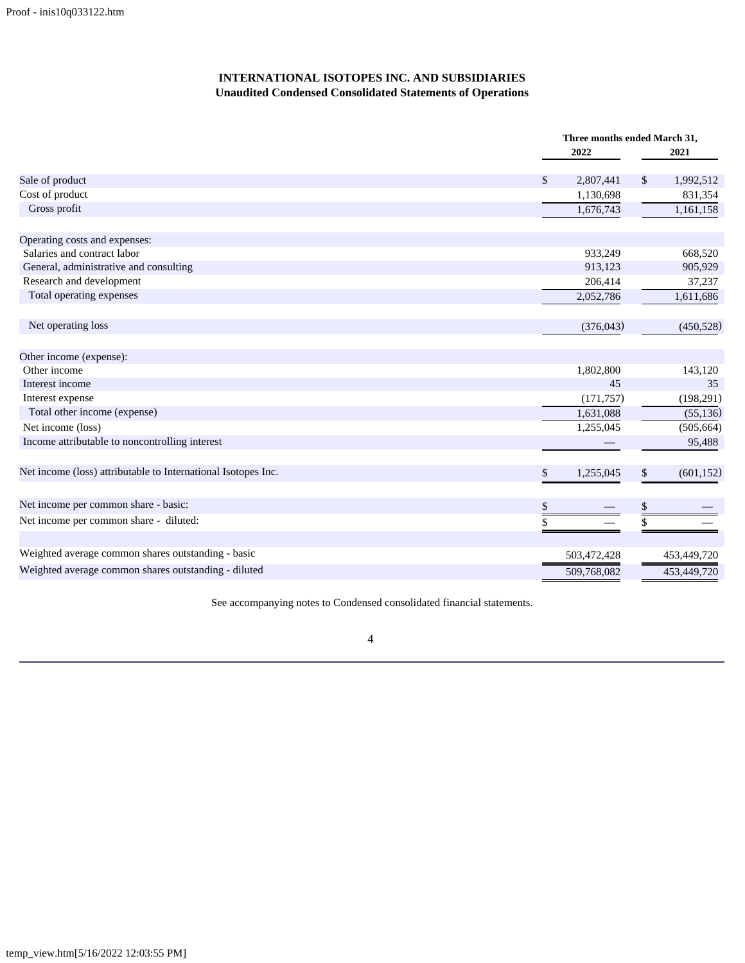# **INTERNATIONAL ISOTOPES INC. AND SUBSIDIARIES Unaudited Condensed Consolidated Statements of Operations**

|                                                               |                 | Three months ended March 31, |
|---------------------------------------------------------------|-----------------|------------------------------|
|                                                               | 2022            | 2021                         |
| Sale of product                                               | \$<br>2,807,441 | $\mathcal{S}$<br>1,992,512   |
| Cost of product                                               | 1,130,698       | 831,354                      |
| Gross profit                                                  | 1,676,743       | 1,161,158                    |
| Operating costs and expenses:                                 |                 |                              |
| Salaries and contract labor                                   | 933,249         | 668,520                      |
| General, administrative and consulting                        | 913,123         | 905,929                      |
| Research and development                                      | 206,414         | 37,237                       |
| Total operating expenses                                      | 2,052,786       | 1,611,686                    |
| Net operating loss                                            | (376, 043)      | (450, 528)                   |
| Other income (expense):                                       |                 |                              |
| Other income                                                  | 1,802,800       | 143,120                      |
| Interest income                                               | 45              | 35                           |
| Interest expense                                              | (171, 757)      | (198,291)                    |
| Total other income (expense)                                  | 1,631,088       | (55, 136)                    |
| Net income (loss)                                             | 1,255,045       | (505, 664)                   |
| Income attributable to noncontrolling interest                |                 | 95,488                       |
| Net income (loss) attributable to International Isotopes Inc. | \$<br>1,255,045 | $\mathbb{S}$<br>(601, 152)   |
| Net income per common share - basic:                          | \$              | $\$$                         |
| Net income per common share - diluted:                        | \$              | \$                           |
| Weighted average common shares outstanding - basic            | 503,472,428     | 453,449,720                  |
| Weighted average common shares outstanding - diluted          |                 |                              |
|                                                               | 509,768,082     | 453,449,720                  |

See accompanying notes to Condensed consolidated financial statements.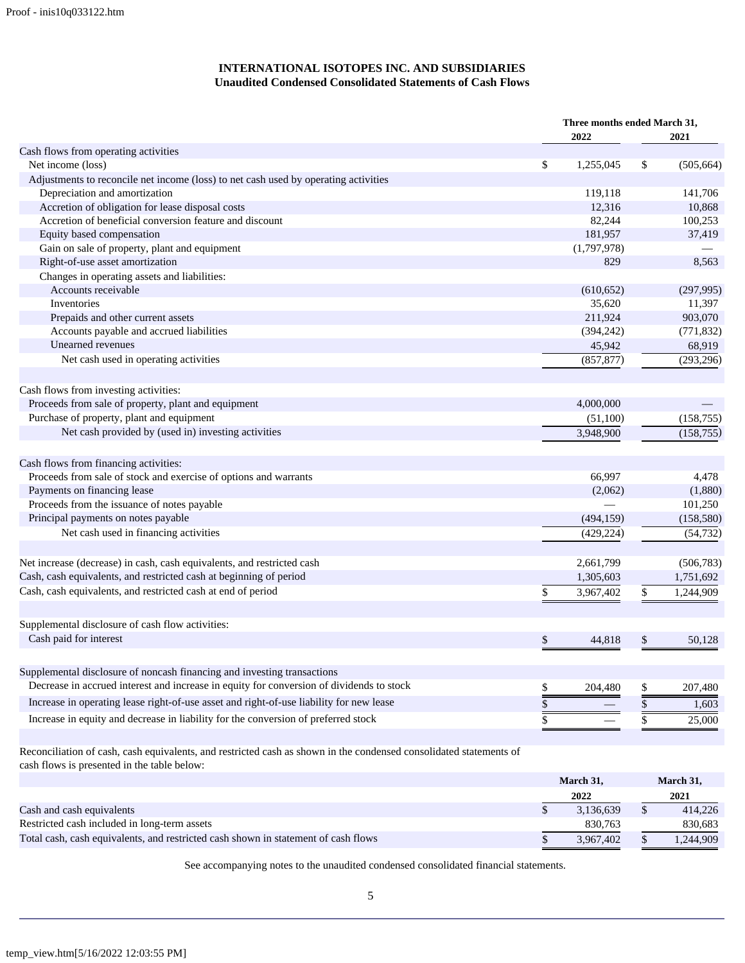# **INTERNATIONAL ISOTOPES INC. AND SUBSIDIARIES Unaudited Condensed Consolidated Statements of Cash Flows**

|                                                                                                                    | Three months ended March 31, |             |    |            |
|--------------------------------------------------------------------------------------------------------------------|------------------------------|-------------|----|------------|
|                                                                                                                    |                              | 2022        |    | 2021       |
| Cash flows from operating activities                                                                               |                              |             |    |            |
| Net income (loss)                                                                                                  | \$                           | 1,255,045   | \$ | (505, 664) |
| Adjustments to reconcile net income (loss) to net cash used by operating activities                                |                              |             |    |            |
| Depreciation and amortization                                                                                      |                              | 119,118     |    | 141,706    |
| Accretion of obligation for lease disposal costs                                                                   |                              | 12,316      |    | 10,868     |
| Accretion of beneficial conversion feature and discount                                                            |                              | 82,244      |    | 100,253    |
| Equity based compensation                                                                                          |                              | 181,957     |    | 37,419     |
| Gain on sale of property, plant and equipment                                                                      |                              | (1,797,978) |    |            |
| Right-of-use asset amortization                                                                                    |                              | 829         |    | 8,563      |
| Changes in operating assets and liabilities:                                                                       |                              |             |    |            |
| Accounts receivable                                                                                                |                              | (610, 652)  |    | (297, 995) |
| Inventories                                                                                                        |                              | 35,620      |    | 11,397     |
| Prepaids and other current assets                                                                                  |                              | 211,924     |    | 903,070    |
| Accounts payable and accrued liabilities                                                                           |                              | (394, 242)  |    | (771, 832) |
| Unearned revenues                                                                                                  |                              | 45,942      |    | 68,919     |
| Net cash used in operating activities                                                                              |                              | (857, 877)  |    | (293, 296) |
| Cash flows from investing activities:                                                                              |                              |             |    |            |
| Proceeds from sale of property, plant and equipment                                                                |                              | 4,000,000   |    |            |
| Purchase of property, plant and equipment                                                                          |                              | (51,100)    |    | (158, 755) |
| Net cash provided by (used in) investing activities                                                                |                              | 3,948,900   |    | (158, 755) |
| Cash flows from financing activities:                                                                              |                              |             |    |            |
| Proceeds from sale of stock and exercise of options and warrants                                                   |                              | 66,997      |    | 4,478      |
| Payments on financing lease                                                                                        |                              | (2,062)     |    | (1,880)    |
| Proceeds from the issuance of notes payable                                                                        |                              |             |    | 101,250    |
| Principal payments on notes payable                                                                                |                              | (494, 159)  |    | (158, 580) |
| Net cash used in financing activities                                                                              |                              | (429, 224)  |    | (54, 732)  |
|                                                                                                                    |                              |             |    |            |
| Net increase (decrease) in cash, cash equivalents, and restricted cash                                             |                              | 2,661,799   |    | (506, 783) |
| Cash, cash equivalents, and restricted cash at beginning of period                                                 |                              | 1,305,603   |    | 1,751,692  |
| Cash, cash equivalents, and restricted cash at end of period                                                       | \$                           | 3,967,402   | \$ | 1,244,909  |
| Supplemental disclosure of cash flow activities:                                                                   |                              |             |    |            |
| Cash paid for interest                                                                                             |                              |             |    |            |
|                                                                                                                    | \$                           | 44,818      | \$ | 50,128     |
| Supplemental disclosure of noncash financing and investing transactions                                            |                              |             |    |            |
| Decrease in accrued interest and increase in equity for conversion of dividends to stock                           | \$                           | 204,480     | \$ | 207,480    |
| Increase in operating lease right-of-use asset and right-of-use liability for new lease                            | \$                           |             | \$ | 1,603      |
| Increase in equity and decrease in liability for the conversion of preferred stock                                 | \$                           |             | \$ | 25,000     |
| Reconciliation of cash, cash equivalents, and restricted cash as shown in the condensed consolidated statements of |                              |             |    |            |

cash flows is presented in the table below: **March 31, March 31, 2022 2021** Cash and cash equivalents  $\overline{\text{S}}$   $\overline{\text{S}}$   $\overline{\text{S}}$   $\overline{\text{S}}$   $\overline{\text{S}}$   $\overline{\text{S}}$   $\overline{\text{S}}$   $\overline{\text{S}}$   $\overline{\text{S}}$   $\overline{\text{S}}$   $\overline{\text{S}}$   $\overline{\text{S}}$   $\overline{\text{S}}$   $\overline{\text{S}}$   $\overline{\text{S}}$   $\overline{\text{S}}$   $\overline{\text{S}}$   $\overline{\text{S$ Restricted cash included in long-term assets 830,683 830,683 Total cash, cash equivalents, and restricted cash shown in statement of cash flows  $\frac{}{\$}$  3,967,402  $\frac{}{\$}$  1,244,909

See accompanying notes to the unaudited condensed consolidated financial statements.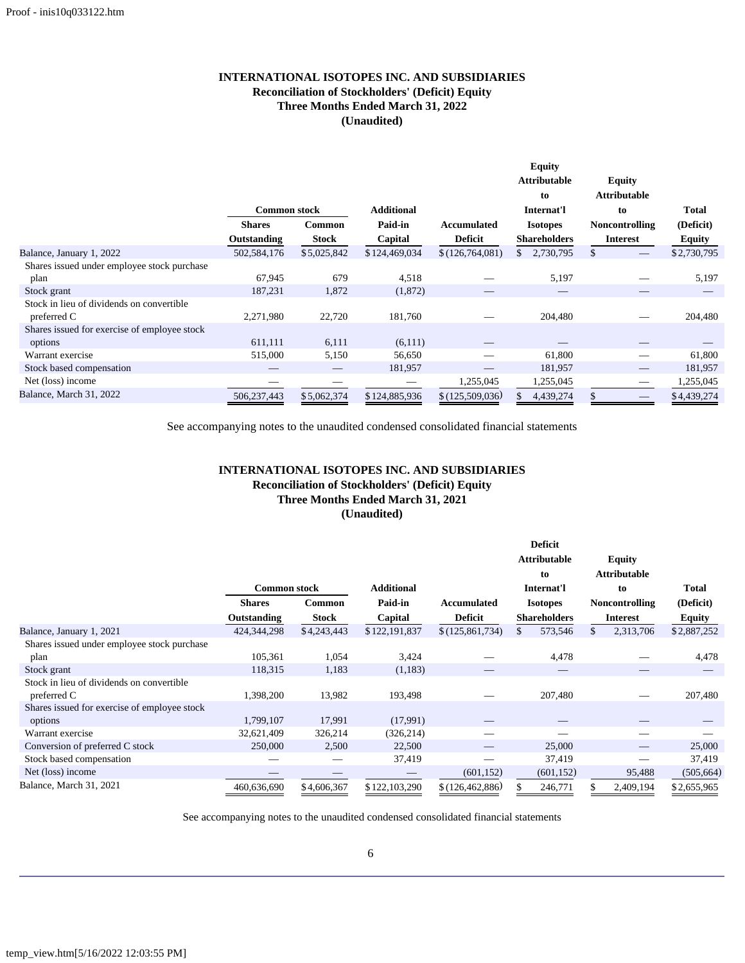# **INTERNATIONAL ISOTOPES INC. AND SUBSIDIARIES Reconciliation of Stockholders' (Deficit) Equity Three Months Ended March 31, 2022 (Unaudited)**

|                                              |                     |              |                   |                 | <b>Equity</b>            |                                 |               |
|----------------------------------------------|---------------------|--------------|-------------------|-----------------|--------------------------|---------------------------------|---------------|
|                                              |                     |              |                   |                 | <b>Attributable</b>      | <b>Equity</b>                   |               |
|                                              |                     |              |                   |                 | to                       | <b>Attributable</b>             |               |
|                                              | <b>Common stock</b> |              | <b>Additional</b> |                 | Internat'l               | to                              | <b>Total</b>  |
|                                              | <b>Shares</b>       | Common       | Paid-in           | Accumulated     | <b>Isotopes</b>          | <b>Noncontrolling</b>           | (Deficit)     |
|                                              | Outstanding         | <b>Stock</b> | Capital           | <b>Deficit</b>  | <b>Shareholders</b>      | <b>Interest</b>                 | <b>Equity</b> |
| Balance, January 1, 2022                     | 502,584,176         | \$5,025,842  | \$124,469,034     | \$(126,764,081) | 2,730,795<br>\$          | \$.                             | \$2,730,795   |
| Shares issued under employee stock purchase  |                     |              |                   |                 |                          |                                 |               |
| plan                                         | 67,945              | 679          | 4,518             |                 | 5,197                    |                                 | 5,197         |
| Stock grant                                  | 187,231             | 1,872        | (1,872)           |                 | $\overline{\phantom{a}}$ |                                 |               |
| Stock in lieu of dividends on convertible    |                     |              |                   |                 |                          |                                 |               |
| preferred C                                  | 2,271,980           | 22,720       | 181,760           |                 | 204,480                  |                                 | 204,480       |
| Shares issued for exercise of employee stock |                     |              |                   |                 |                          |                                 |               |
| options                                      | 611,111             | 6,111        | (6,111)           |                 |                          |                                 |               |
| Warrant exercise                             | 515,000             | 5,150        | 56,650            |                 | 61,800                   | --                              | 61,800        |
| Stock based compensation                     |                     |              | 181,957           |                 | 181,957                  |                                 | 181,957       |
| Net (loss) income                            |                     |              |                   | 1,255,045       | 1,255,045                |                                 | 1,255,045     |
| Balance, March 31, 2022                      | 506,237,443         | \$5,062,374  | \$124,885,936     | \$(125,509,036) | 4,439,274                | $\hspace{0.1mm}-\hspace{0.1mm}$ | \$4,439,274   |

See accompanying notes to the unaudited condensed consolidated financial statements

# **INTERNATIONAL ISOTOPES INC. AND SUBSIDIARIES Reconciliation of Stockholders' (Deficit) Equity Three Months Ended March 31, 2021 (Unaudited)**

|                                              |                     |              |                   |                    |     | <b>Deficit</b>      |    |                       |             |
|----------------------------------------------|---------------------|--------------|-------------------|--------------------|-----|---------------------|----|-----------------------|-------------|
|                                              |                     |              |                   |                    |     | <b>Attributable</b> |    | <b>Equity</b>         |             |
|                                              |                     |              |                   |                    |     | to                  |    | <b>Attributable</b>   |             |
|                                              | <b>Common stock</b> |              | <b>Additional</b> |                    |     | Internat'l          | to |                       | Total       |
|                                              | <b>Shares</b>       | Common       | Paid-in           | <b>Accumulated</b> |     | <b>Isotopes</b>     |    | <b>Noncontrolling</b> | (Deficit)   |
|                                              | Outstanding         | <b>Stock</b> | Capital           | <b>Deficit</b>     |     | <b>Shareholders</b> |    | <b>Interest</b>       | Equity      |
| Balance, January 1, 2021                     | 424, 344, 298       | \$4,243,443  | \$122,191,837     | \$(125,861,734)    | \$. | 573,546             |    | 2,313,706             | \$2,887,252 |
| Shares issued under employee stock purchase  |                     |              |                   |                    |     |                     |    |                       |             |
| plan                                         | 105,361             | 1,054        | 3,424             |                    |     | 4,478               |    |                       | 4,478       |
| Stock grant                                  | 118,315             | 1,183        | (1,183)           |                    |     |                     |    |                       |             |
| Stock in lieu of dividends on convertible    |                     |              |                   |                    |     |                     |    |                       |             |
| preferred C                                  | 1,398,200           | 13,982       | 193,498           |                    |     | 207,480             |    |                       | 207,480     |
| Shares issued for exercise of employee stock |                     |              |                   |                    |     |                     |    |                       |             |
| options                                      | 1,799,107           | 17,991       | (17,991)          |                    |     |                     |    |                       |             |
| Warrant exercise                             | 32,621,409          | 326,214      | (326, 214)        |                    |     |                     |    |                       |             |
| Conversion of preferred C stock              | 250,000             | 2,500        | 22,500            |                    |     | 25,000              |    |                       | 25,000      |
| Stock based compensation                     |                     |              | 37,419            |                    |     | 37,419              |    |                       | 37,419      |
| Net (loss) income                            |                     |              |                   | (601, 152)         |     | (601, 152)          |    | 95,488                | (505, 664)  |
| Balance, March 31, 2021                      | 460,636,690         | \$4,606,367  | \$122,103,290     | \$(126, 462, 886)  |     | 246,771             |    | 2,409,194             | \$2,655,965 |

See accompanying notes to the unaudited condensed consolidated financial statements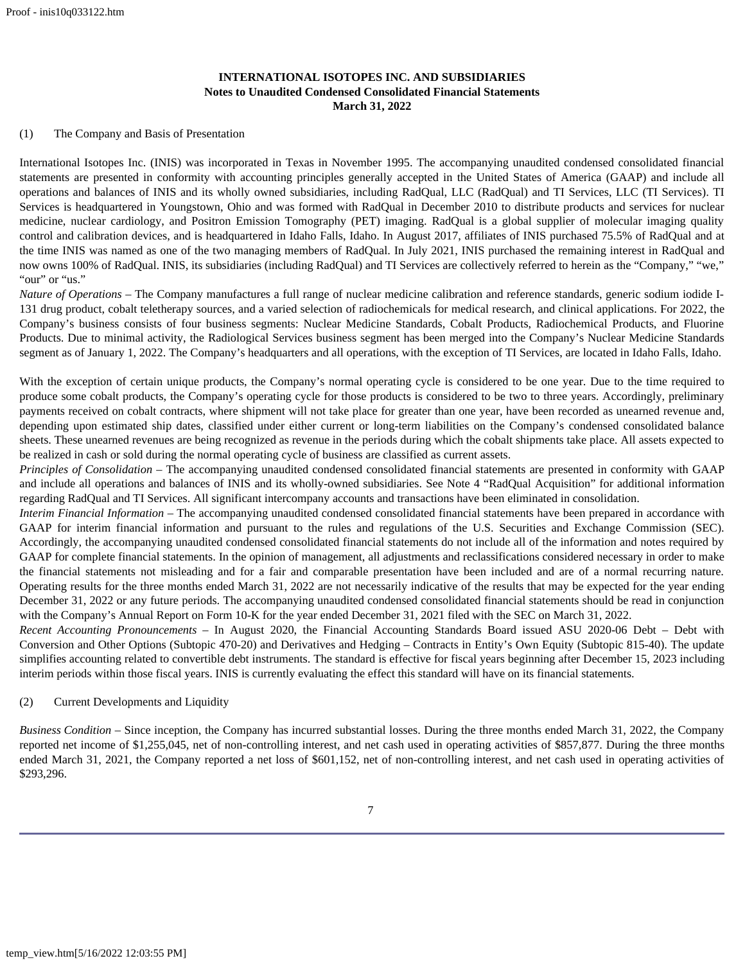# **INTERNATIONAL ISOTOPES INC. AND SUBSIDIARIES Notes to Unaudited Condensed Consolidated Financial Statements March 31, 2022**

## <span id="page-6-0"></span>(1) The Company and Basis of Presentation

International Isotopes Inc. (INIS) was incorporated in Texas in November 1995. The accompanying unaudited condensed consolidated financial statements are presented in conformity with accounting principles generally accepted in the United States of America (GAAP) and include all operations and balances of INIS and its wholly owned subsidiaries, including RadQual, LLC (RadQual) and TI Services, LLC (TI Services). TI Services is headquartered in Youngstown, Ohio and was formed with RadQual in December 2010 to distribute products and services for nuclear medicine, nuclear cardiology, and Positron Emission Tomography (PET) imaging. RadQual is a global supplier of molecular imaging quality control and calibration devices, and is headquartered in Idaho Falls, Idaho. In August 2017, affiliates of INIS purchased 75.5% of RadQual and at the time INIS was named as one of the two managing members of RadQual. In July 2021, INIS purchased the remaining interest in RadQual and now owns 100% of RadQual. INIS, its subsidiaries (including RadQual) and TI Services are collectively referred to herein as the "Company," "we," "our" or "us."

*Nature of Operations* – The Company manufactures a full range of nuclear medicine calibration and reference standards, generic sodium iodide I-131 drug product, cobalt teletherapy sources, and a varied selection of radiochemicals for medical research, and clinical applications. For 2022, the Company's business consists of four business segments: Nuclear Medicine Standards, Cobalt Products, Radiochemical Products, and Fluorine Products. Due to minimal activity, the Radiological Services business segment has been merged into the Company's Nuclear Medicine Standards segment as of January 1, 2022. The Company's headquarters and all operations, with the exception of TI Services, are located in Idaho Falls, Idaho.

With the exception of certain unique products, the Company's normal operating cycle is considered to be one year. Due to the time required to produce some cobalt products, the Company's operating cycle for those products is considered to be two to three years. Accordingly, preliminary payments received on cobalt contracts, where shipment will not take place for greater than one year, have been recorded as unearned revenue and, depending upon estimated ship dates, classified under either current or long-term liabilities on the Company's condensed consolidated balance sheets. These unearned revenues are being recognized as revenue in the periods during which the cobalt shipments take place. All assets expected to be realized in cash or sold during the normal operating cycle of business are classified as current assets.

*Principles of Consolidation* – The accompanying unaudited condensed consolidated financial statements are presented in conformity with GAAP and include all operations and balances of INIS and its wholly-owned subsidiaries. See Note 4 "RadQual Acquisition" for additional information regarding RadQual and TI Services. All significant intercompany accounts and transactions have been eliminated in consolidation.

*Interim Financial Information* – The accompanying unaudited condensed consolidated financial statements have been prepared in accordance with GAAP for interim financial information and pursuant to the rules and regulations of the U.S. Securities and Exchange Commission (SEC). Accordingly, the accompanying unaudited condensed consolidated financial statements do not include all of the information and notes required by GAAP for complete financial statements. In the opinion of management, all adjustments and reclassifications considered necessary in order to make the financial statements not misleading and for a fair and comparable presentation have been included and are of a normal recurring nature. Operating results for the three months ended March 31, 2022 are not necessarily indicative of the results that may be expected for the year ending December 31, 2022 or any future periods. The accompanying unaudited condensed consolidated financial statements should be read in conjunction with the Company's Annual Report on Form 10-K for the year ended December 31, 2021 filed with the SEC on March 31, 2022.

*Recent Accounting Pronouncements –* In August 2020, the Financial Accounting Standards Board issued ASU 2020-06 Debt – Debt with Conversion and Other Options (Subtopic 470-20) and Derivatives and Hedging – Contracts in Entity's Own Equity (Subtopic 815-40). The update simplifies accounting related to convertible debt instruments. The standard is effective for fiscal years beginning after December 15, 2023 including interim periods within those fiscal years. INIS is currently evaluating the effect this standard will have on its financial statements.

# (2) Current Developments and Liquidity

*Business Condition* – Since inception, the Company has incurred substantial losses. During the three months ended March 31, 2022, the Company reported net income of \$1,255,045, net of non-controlling interest, and net cash used in operating activities of \$857,877. During the three months ended March 31, 2021, the Company reported a net loss of \$601,152, net of non-controlling interest, and net cash used in operating activities of \$293,296.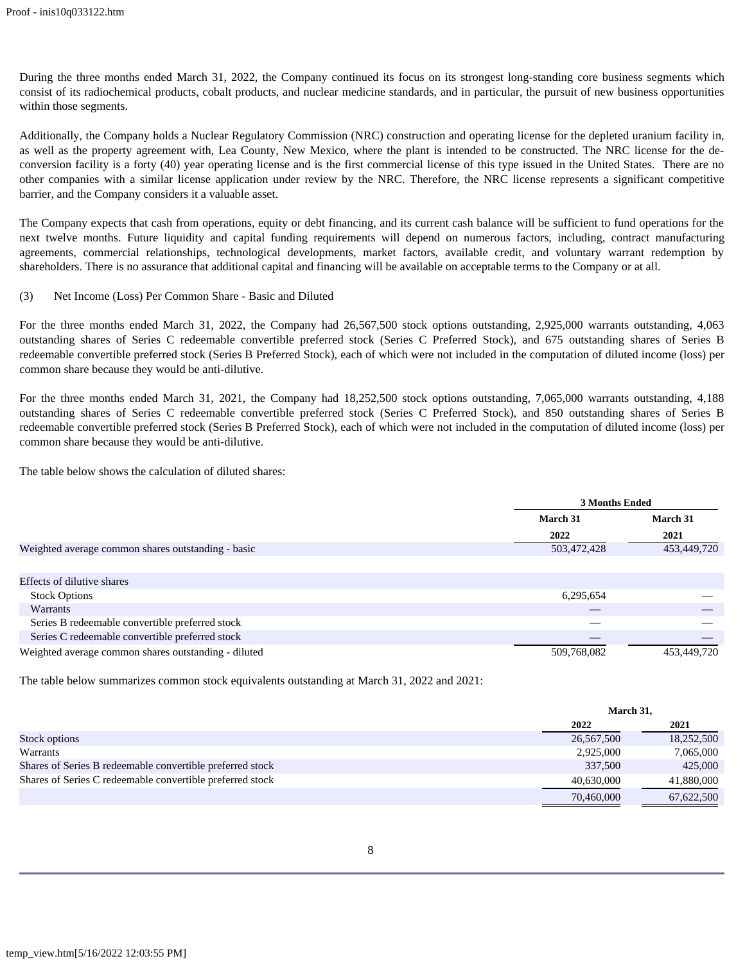During the three months ended March 31, 2022, the Company continued its focus on its strongest long-standing core business segments which consist of its radiochemical products, cobalt products, and nuclear medicine standards, and in particular, the pursuit of new business opportunities within those segments.

Additionally, the Company holds a Nuclear Regulatory Commission (NRC) construction and operating license for the depleted uranium facility in, as well as the property agreement with, Lea County, New Mexico, where the plant is intended to be constructed. The NRC license for the deconversion facility is a forty (40) year operating license and is the first commercial license of this type issued in the United States. There are no other companies with a similar license application under review by the NRC. Therefore, the NRC license represents a significant competitive barrier, and the Company considers it a valuable asset.

The Company expects that cash from operations, equity or debt financing, and its current cash balance will be sufficient to fund operations for the next twelve months. Future liquidity and capital funding requirements will depend on numerous factors, including, contract manufacturing agreements, commercial relationships, technological developments, market factors, available credit, and voluntary warrant redemption by shareholders. There is no assurance that additional capital and financing will be available on acceptable terms to the Company or at all.

(3) Net Income (Loss) Per Common Share - Basic and Diluted

For the three months ended March 31, 2022, the Company had 26,567,500 stock options outstanding, 2,925,000 warrants outstanding, 4,063 outstanding shares of Series C redeemable convertible preferred stock (Series C Preferred Stock), and 675 outstanding shares of Series B redeemable convertible preferred stock (Series B Preferred Stock), each of which were not included in the computation of diluted income (loss) per common share because they would be anti-dilutive.

For the three months ended March 31, 2021, the Company had 18,252,500 stock options outstanding, 7,065,000 warrants outstanding, 4,188 outstanding shares of Series C redeemable convertible preferred stock (Series C Preferred Stock), and 850 outstanding shares of Series B redeemable convertible preferred stock (Series B Preferred Stock), each of which were not included in the computation of diluted income (loss) per common share because they would be anti-dilutive.

The table below shows the calculation of diluted shares:

|                                                      | <b>3 Months Ended</b> |             |
|------------------------------------------------------|-----------------------|-------------|
|                                                      | March 31              | March 31    |
|                                                      | 2022                  | 2021        |
| Weighted average common shares outstanding - basic   | 503,472,428           | 453,449,720 |
|                                                      |                       |             |
| Effects of dilutive shares                           |                       |             |
| <b>Stock Options</b>                                 | 6,295,654             |             |
| Warrants                                             |                       |             |
| Series B redeemable convertible preferred stock      |                       |             |
| Series C redeemable convertible preferred stock      |                       |             |
| Weighted average common shares outstanding - diluted | 509,768,082           | 453,449,720 |

The table below summarizes common stock equivalents outstanding at March 31, 2022 and 2021:

|                                                           |            | March 31,  |  |  |
|-----------------------------------------------------------|------------|------------|--|--|
|                                                           | 2022       | 2021       |  |  |
| Stock options                                             | 26,567,500 | 18,252,500 |  |  |
| Warrants                                                  | 2,925,000  | 7,065,000  |  |  |
| Shares of Series B redeemable convertible preferred stock | 337,500    | 425,000    |  |  |
| Shares of Series C redeemable convertible preferred stock | 40.630,000 | 41,880,000 |  |  |
|                                                           | 70,460,000 | 67,622,500 |  |  |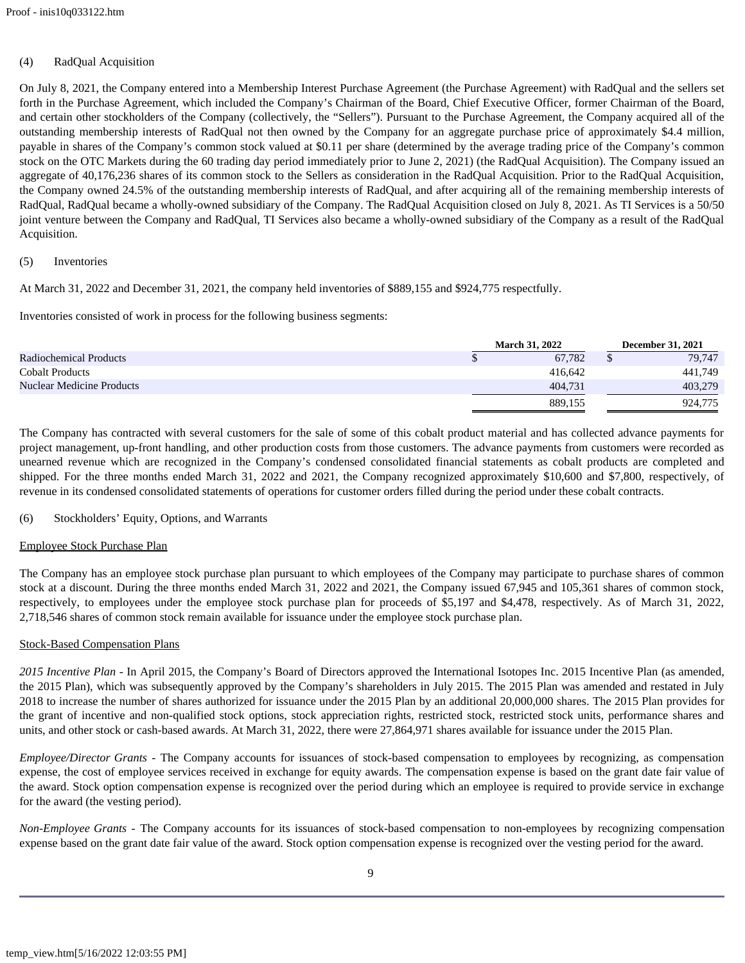# (4) RadQual Acquisition

On July 8, 2021, the Company entered into a Membership Interest Purchase Agreement (the Purchase Agreement) with RadQual and the sellers set forth in the Purchase Agreement, which included the Company's Chairman of the Board, Chief Executive Officer, former Chairman of the Board, and certain other stockholders of the Company (collectively, the "Sellers"). Pursuant to the Purchase Agreement, the Company acquired all of the outstanding membership interests of RadQual not then owned by the Company for an aggregate purchase price of approximately \$4.4 million, payable in shares of the Company's common stock valued at \$0.11 per share (determined by the average trading price of the Company's common stock on the OTC Markets during the 60 trading day period immediately prior to June 2, 2021) (the RadQual Acquisition). The Company issued an aggregate of 40,176,236 shares of its common stock to the Sellers as consideration in the RadQual Acquisition. Prior to the RadQual Acquisition, the Company owned 24.5% of the outstanding membership interests of RadQual, and after acquiring all of the remaining membership interests of RadQual, RadQual became a wholly-owned subsidiary of the Company. The RadQual Acquisition closed on July 8, 2021. As TI Services is a 50/50 joint venture between the Company and RadQual, TI Services also became a wholly-owned subsidiary of the Company as a result of the RadQual Acquisition.

# (5) Inventories

At March 31, 2022 and December 31, 2021, the company held inventories of \$889,155 and \$924,775 respectfully.

Inventories consisted of work in process for the following business segments:

|                                  | <b>March 31, 2022</b> |         | <b>December 31, 2021</b> |
|----------------------------------|-----------------------|---------|--------------------------|
| <b>Radiochemical Products</b>    |                       | 67.782  | 79,747                   |
| <b>Cobalt Products</b>           |                       | 416.642 | 441,749                  |
| <b>Nuclear Medicine Products</b> |                       | 404.731 | 403,279                  |
|                                  |                       | 889.155 | 924,775                  |

The Company has contracted with several customers for the sale of some of this cobalt product material and has collected advance payments for project management, up-front handling, and other production costs from those customers. The advance payments from customers were recorded as unearned revenue which are recognized in the Company's condensed consolidated financial statements as cobalt products are completed and shipped. For the three months ended March 31, 2022 and 2021, the Company recognized approximately \$10,600 and \$7,800, respectively, of revenue in its condensed consolidated statements of operations for customer orders filled during the period under these cobalt contracts.

## (6) Stockholders' Equity, Options, and Warrants

## Employee Stock Purchase Plan

The Company has an employee stock purchase plan pursuant to which employees of the Company may participate to purchase shares of common stock at a discount. During the three months ended March 31, 2022 and 2021, the Company issued 67,945 and 105,361 shares of common stock, respectively, to employees under the employee stock purchase plan for proceeds of \$5,197 and \$4,478, respectively. As of March 31, 2022, 2,718,546 shares of common stock remain available for issuance under the employee stock purchase plan.

## Stock-Based Compensation Plans

*2015 Incentive Plan* - In April 2015, the Company's Board of Directors approved the International Isotopes Inc. 2015 Incentive Plan (as amended, the 2015 Plan), which was subsequently approved by the Company's shareholders in July 2015. The 2015 Plan was amended and restated in July 2018 to increase the number of shares authorized for issuance under the 2015 Plan by an additional 20,000,000 shares. The 2015 Plan provides for the grant of incentive and non-qualified stock options, stock appreciation rights, restricted stock, restricted stock units, performance shares and units, and other stock or cash-based awards. At March 31, 2022, there were 27,864,971 shares available for issuance under the 2015 Plan.

*Employee/Director Grants* - The Company accounts for issuances of stock-based compensation to employees by recognizing, as compensation expense, the cost of employee services received in exchange for equity awards. The compensation expense is based on the grant date fair value of the award. Stock option compensation expense is recognized over the period during which an employee is required to provide service in exchange for the award (the vesting period).

*Non-Employee Grants* - The Company accounts for its issuances of stock-based compensation to non-employees by recognizing compensation expense based on the grant date fair value of the award. Stock option compensation expense is recognized over the vesting period for the award.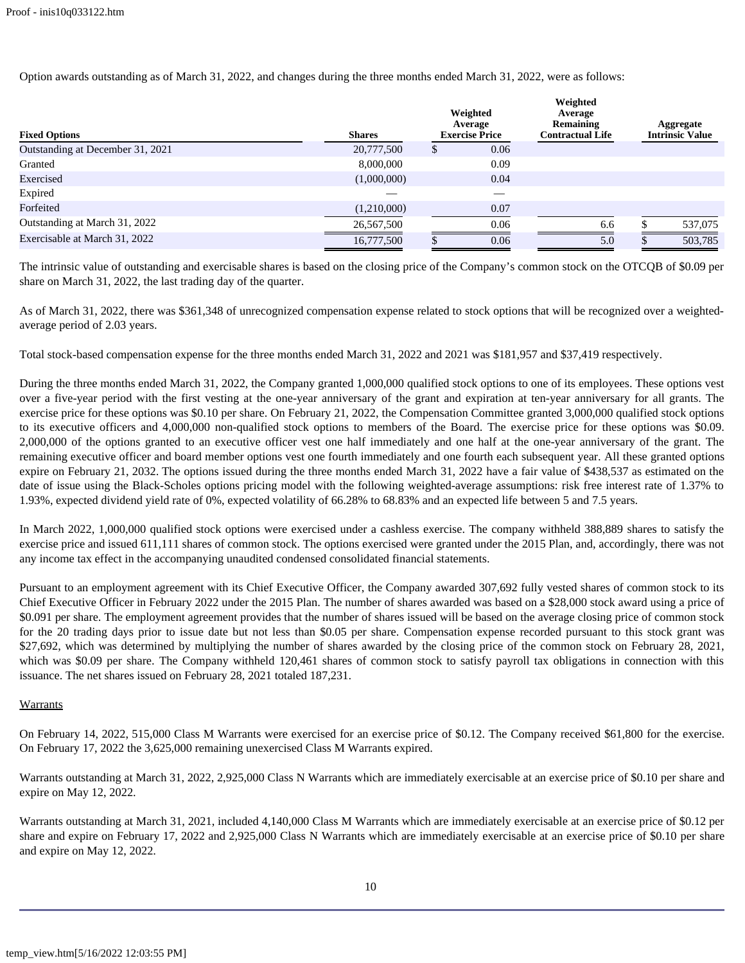Option awards outstanding as of March 31, 2022, and changes during the three months ended March 31, 2022, were as follows:

| <b>Fixed Options</b>             | <b>Shares</b> | Weighted<br>Average<br><b>Exercise Price</b> |      | Weighted<br>Average<br>Remaining<br><b>Contractual Life</b> | Aggregate<br><b>Intrinsic Value</b> |
|----------------------------------|---------------|----------------------------------------------|------|-------------------------------------------------------------|-------------------------------------|
| Outstanding at December 31, 2021 | 20,777,500    | P                                            | 0.06 |                                                             |                                     |
| Granted                          | 8,000,000     |                                              | 0.09 |                                                             |                                     |
| Exercised                        | (1,000,000)   |                                              | 0.04 |                                                             |                                     |
| Expired                          |               |                                              |      |                                                             |                                     |
| Forfeited                        | (1,210,000)   |                                              | 0.07 |                                                             |                                     |
| Outstanding at March 31, 2022    | 26,567,500    |                                              | 0.06 | 6.6                                                         | 537,075                             |
| Exercisable at March 31, 2022    | 16,777,500    |                                              | 0.06 | 5.0                                                         | 503,785                             |

The intrinsic value of outstanding and exercisable shares is based on the closing price of the Company's common stock on the OTCQB of \$0.09 per share on March 31, 2022, the last trading day of the quarter.

As of March 31, 2022, there was \$361,348 of unrecognized compensation expense related to stock options that will be recognized over a weightedaverage period of 2.03 years.

Total stock-based compensation expense for the three months ended March 31, 2022 and 2021 was \$181,957 and \$37,419 respectively.

During the three months ended March 31, 2022, the Company granted 1,000,000 qualified stock options to one of its employees. These options vest over a five-year period with the first vesting at the one-year anniversary of the grant and expiration at ten-year anniversary for all grants. The exercise price for these options was \$0.10 per share. On February 21, 2022, the Compensation Committee granted 3,000,000 qualified stock options to its executive officers and 4,000,000 non-qualified stock options to members of the Board. The exercise price for these options was \$0.09. 2,000,000 of the options granted to an executive officer vest one half immediately and one half at the one-year anniversary of the grant. The remaining executive officer and board member options vest one fourth immediately and one fourth each subsequent year. All these granted options expire on February 21, 2032. The options issued during the three months ended March 31, 2022 have a fair value of \$438,537 as estimated on the date of issue using the Black-Scholes options pricing model with the following weighted-average assumptions: risk free interest rate of 1.37% to 1.93%, expected dividend yield rate of 0%, expected volatility of 66.28% to 68.83% and an expected life between 5 and 7.5 years.

In March 2022, 1,000,000 qualified stock options were exercised under a cashless exercise. The company withheld 388,889 shares to satisfy the exercise price and issued 611,111 shares of common stock. The options exercised were granted under the 2015 Plan, and, accordingly, there was not any income tax effect in the accompanying unaudited condensed consolidated financial statements.

Pursuant to an employment agreement with its Chief Executive Officer, the Company awarded 307,692 fully vested shares of common stock to its Chief Executive Officer in February 2022 under the 2015 Plan. The number of shares awarded was based on a \$28,000 stock award using a price of \$0.091 per share. The employment agreement provides that the number of shares issued will be based on the average closing price of common stock for the 20 trading days prior to issue date but not less than \$0.05 per share. Compensation expense recorded pursuant to this stock grant was \$27,692, which was determined by multiplying the number of shares awarded by the closing price of the common stock on February 28, 2021, which was \$0.09 per share. The Company withheld 120,461 shares of common stock to satisfy payroll tax obligations in connection with this issuance. The net shares issued on February 28, 2021 totaled 187,231.

## **Warrants**

On February 14, 2022, 515,000 Class M Warrants were exercised for an exercise price of \$0.12. The Company received \$61,800 for the exercise. On February 17, 2022 the 3,625,000 remaining unexercised Class M Warrants expired.

Warrants outstanding at March 31, 2022, 2,925,000 Class N Warrants which are immediately exercisable at an exercise price of \$0.10 per share and expire on May 12, 2022.

Warrants outstanding at March 31, 2021, included 4,140,000 Class M Warrants which are immediately exercisable at an exercise price of \$0.12 per share and expire on February 17, 2022 and 2,925,000 Class N Warrants which are immediately exercisable at an exercise price of \$0.10 per share and expire on May 12, 2022.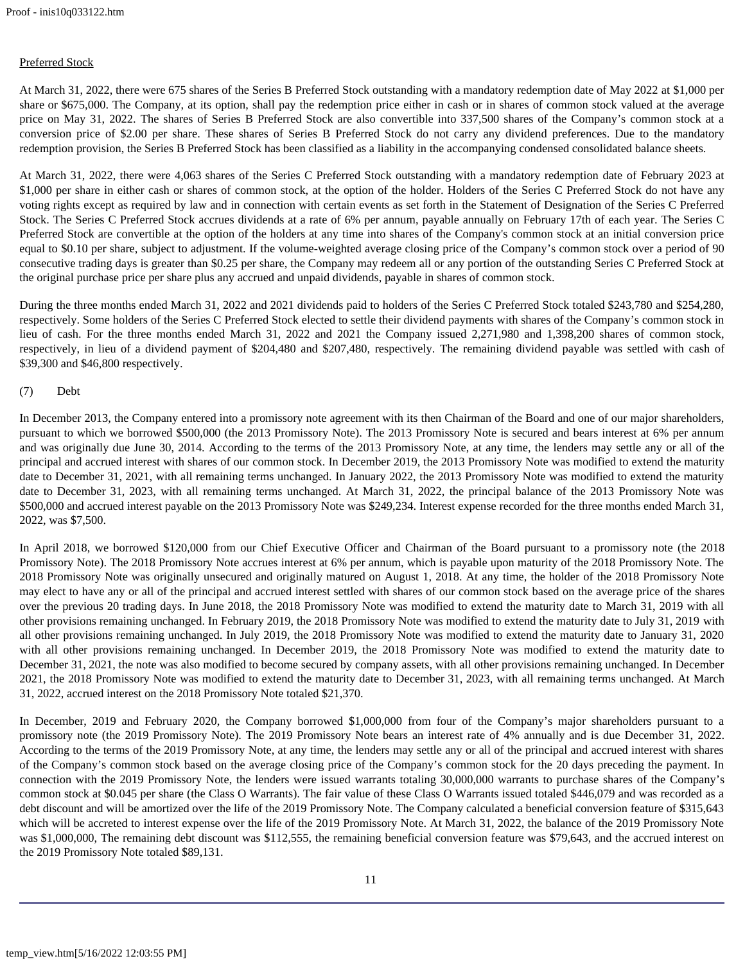# Preferred Stock

At March 31, 2022, there were 675 shares of the Series B Preferred Stock outstanding with a mandatory redemption date of May 2022 at \$1,000 per share or \$675,000. The Company, at its option, shall pay the redemption price either in cash or in shares of common stock valued at the average price on May 31, 2022. The shares of Series B Preferred Stock are also convertible into 337,500 shares of the Company's common stock at a conversion price of \$2.00 per share. These shares of Series B Preferred Stock do not carry any dividend preferences. Due to the mandatory redemption provision, the Series B Preferred Stock has been classified as a liability in the accompanying condensed consolidated balance sheets.

At March 31, 2022, there were 4,063 shares of the Series C Preferred Stock outstanding with a mandatory redemption date of February 2023 at \$1,000 per share in either cash or shares of common stock, at the option of the holder. Holders of the Series C Preferred Stock do not have any voting rights except as required by law and in connection with certain events as set forth in the Statement of Designation of the Series C Preferred Stock. The Series C Preferred Stock accrues dividends at a rate of 6% per annum, payable annually on February 17th of each year. The Series C Preferred Stock are convertible at the option of the holders at any time into shares of the Company's common stock at an initial conversion price equal to \$0.10 per share, subject to adjustment. If the volume-weighted average closing price of the Company's common stock over a period of 90 consecutive trading days is greater than \$0.25 per share, the Company may redeem all or any portion of the outstanding Series C Preferred Stock at the original purchase price per share plus any accrued and unpaid dividends, payable in shares of common stock.

During the three months ended March 31, 2022 and 2021 dividends paid to holders of the Series C Preferred Stock totaled \$243,780 and \$254,280, respectively. Some holders of the Series C Preferred Stock elected to settle their dividend payments with shares of the Company's common stock in lieu of cash. For the three months ended March 31, 2022 and 2021 the Company issued 2,271,980 and 1,398,200 shares of common stock, respectively, in lieu of a dividend payment of \$204,480 and \$207,480, respectively. The remaining dividend payable was settled with cash of \$39,300 and \$46,800 respectively.

## (7) Debt

In December 2013, the Company entered into a promissory note agreement with its then Chairman of the Board and one of our major shareholders, pursuant to which we borrowed \$500,000 (the 2013 Promissory Note). The 2013 Promissory Note is secured and bears interest at 6% per annum and was originally due June 30, 2014. According to the terms of the 2013 Promissory Note, at any time, the lenders may settle any or all of the principal and accrued interest with shares of our common stock. In December 2019, the 2013 Promissory Note was modified to extend the maturity date to December 31, 2021, with all remaining terms unchanged. In January 2022, the 2013 Promissory Note was modified to extend the maturity date to December 31, 2023, with all remaining terms unchanged. At March 31, 2022, the principal balance of the 2013 Promissory Note was \$500,000 and accrued interest payable on the 2013 Promissory Note was \$249,234. Interest expense recorded for the three months ended March 31, 2022, was \$7,500.

In April 2018, we borrowed \$120,000 from our Chief Executive Officer and Chairman of the Board pursuant to a promissory note (the 2018 Promissory Note). The 2018 Promissory Note accrues interest at 6% per annum, which is payable upon maturity of the 2018 Promissory Note. The 2018 Promissory Note was originally unsecured and originally matured on August 1, 2018. At any time, the holder of the 2018 Promissory Note may elect to have any or all of the principal and accrued interest settled with shares of our common stock based on the average price of the shares over the previous 20 trading days. In June 2018, the 2018 Promissory Note was modified to extend the maturity date to March 31, 2019 with all other provisions remaining unchanged. In February 2019, the 2018 Promissory Note was modified to extend the maturity date to July 31, 2019 with all other provisions remaining unchanged. In July 2019, the 2018 Promissory Note was modified to extend the maturity date to January 31, 2020 with all other provisions remaining unchanged. In December 2019, the 2018 Promissory Note was modified to extend the maturity date to December 31, 2021, the note was also modified to become secured by company assets, with all other provisions remaining unchanged. In December 2021, the 2018 Promissory Note was modified to extend the maturity date to December 31, 2023, with all remaining terms unchanged. At March 31, 2022, accrued interest on the 2018 Promissory Note totaled \$21,370.

In December, 2019 and February 2020, the Company borrowed \$1,000,000 from four of the Company's major shareholders pursuant to a promissory note (the 2019 Promissory Note). The 2019 Promissory Note bears an interest rate of 4% annually and is due December 31, 2022. According to the terms of the 2019 Promissory Note, at any time, the lenders may settle any or all of the principal and accrued interest with shares of the Company's common stock based on the average closing price of the Company's common stock for the 20 days preceding the payment. In connection with the 2019 Promissory Note, the lenders were issued warrants totaling 30,000,000 warrants to purchase shares of the Company's common stock at \$0.045 per share (the Class O Warrants). The fair value of these Class O Warrants issued totaled \$446,079 and was recorded as a debt discount and will be amortized over the life of the 2019 Promissory Note. The Company calculated a beneficial conversion feature of \$315,643 which will be accreted to interest expense over the life of the 2019 Promissory Note. At March 31, 2022, the balance of the 2019 Promissory Note was \$1,000,000, The remaining debt discount was \$112,555, the remaining beneficial conversion feature was \$79,643, and the accrued interest on the 2019 Promissory Note totaled \$89,131.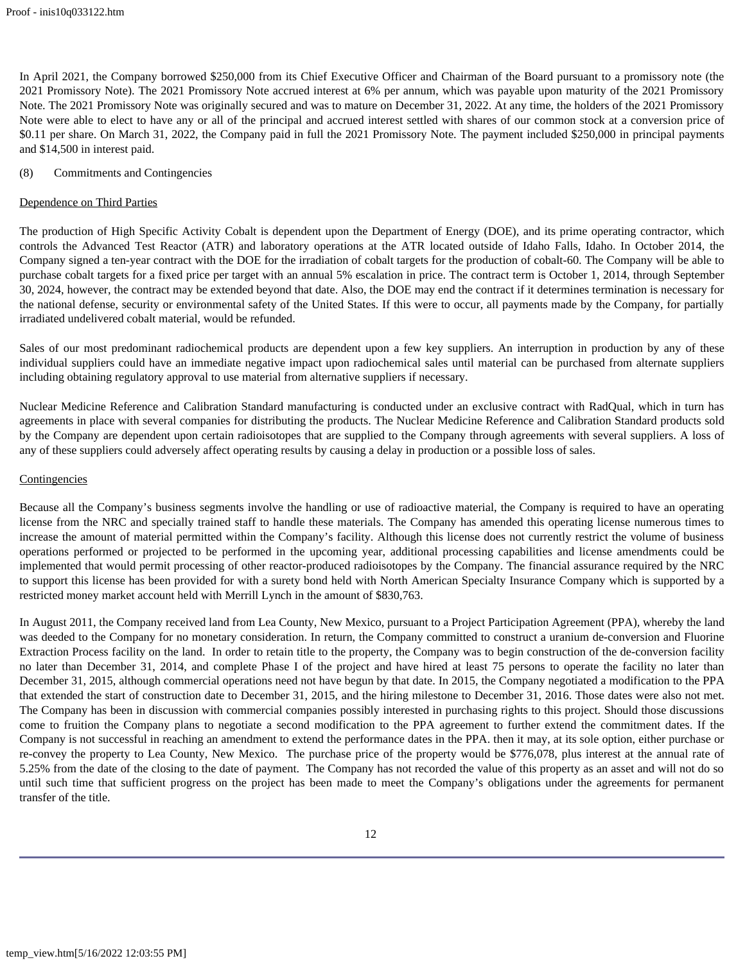In April 2021, the Company borrowed \$250,000 from its Chief Executive Officer and Chairman of the Board pursuant to a promissory note (the 2021 Promissory Note). The 2021 Promissory Note accrued interest at 6% per annum, which was payable upon maturity of the 2021 Promissory Note. The 2021 Promissory Note was originally secured and was to mature on December 31, 2022. At any time, the holders of the 2021 Promissory Note were able to elect to have any or all of the principal and accrued interest settled with shares of our common stock at a conversion price of \$0.11 per share. On March 31, 2022, the Company paid in full the 2021 Promissory Note. The payment included \$250,000 in principal payments and \$14,500 in interest paid.

## (8) Commitments and Contingencies

#### Dependence on Third Parties

The production of High Specific Activity Cobalt is dependent upon the Department of Energy (DOE), and its prime operating contractor, which controls the Advanced Test Reactor (ATR) and laboratory operations at the ATR located outside of Idaho Falls, Idaho. In October 2014, the Company signed a ten-year contract with the DOE for the irradiation of cobalt targets for the production of cobalt-60. The Company will be able to purchase cobalt targets for a fixed price per target with an annual 5% escalation in price. The contract term is October 1, 2014, through September 30, 2024, however, the contract may be extended beyond that date. Also, the DOE may end the contract if it determines termination is necessary for the national defense, security or environmental safety of the United States. If this were to occur, all payments made by the Company, for partially irradiated undelivered cobalt material, would be refunded.

Sales of our most predominant radiochemical products are dependent upon a few key suppliers. An interruption in production by any of these individual suppliers could have an immediate negative impact upon radiochemical sales until material can be purchased from alternate suppliers including obtaining regulatory approval to use material from alternative suppliers if necessary.

Nuclear Medicine Reference and Calibration Standard manufacturing is conducted under an exclusive contract with RadQual, which in turn has agreements in place with several companies for distributing the products. The Nuclear Medicine Reference and Calibration Standard products sold by the Company are dependent upon certain radioisotopes that are supplied to the Company through agreements with several suppliers. A loss of any of these suppliers could adversely affect operating results by causing a delay in production or a possible loss of sales.

## **Contingencies**

Because all the Company's business segments involve the handling or use of radioactive material, the Company is required to have an operating license from the NRC and specially trained staff to handle these materials. The Company has amended this operating license numerous times to increase the amount of material permitted within the Company's facility. Although this license does not currently restrict the volume of business operations performed or projected to be performed in the upcoming year, additional processing capabilities and license amendments could be implemented that would permit processing of other reactor-produced radioisotopes by the Company. The financial assurance required by the NRC to support this license has been provided for with a surety bond held with North American Specialty Insurance Company which is supported by a restricted money market account held with Merrill Lynch in the amount of \$830,763.

In August 2011, the Company received land from Lea County, New Mexico, pursuant to a Project Participation Agreement (PPA), whereby the land was deeded to the Company for no monetary consideration. In return, the Company committed to construct a uranium de-conversion and Fluorine Extraction Process facility on the land. In order to retain title to the property, the Company was to begin construction of the de-conversion facility no later than December 31, 2014, and complete Phase I of the project and have hired at least 75 persons to operate the facility no later than December 31, 2015, although commercial operations need not have begun by that date. In 2015, the Company negotiated a modification to the PPA that extended the start of construction date to December 31, 2015, and the hiring milestone to December 31, 2016. Those dates were also not met. The Company has been in discussion with commercial companies possibly interested in purchasing rights to this project. Should those discussions come to fruition the Company plans to negotiate a second modification to the PPA agreement to further extend the commitment dates. If the Company is not successful in reaching an amendment to extend the performance dates in the PPA. then it may, at its sole option, either purchase or re-convey the property to Lea County, New Mexico. The purchase price of the property would be \$776,078, plus interest at the annual rate of 5.25% from the date of the closing to the date of payment. The Company has not recorded the value of this property as an asset and will not do so until such time that sufficient progress on the project has been made to meet the Company's obligations under the agreements for permanent transfer of the title.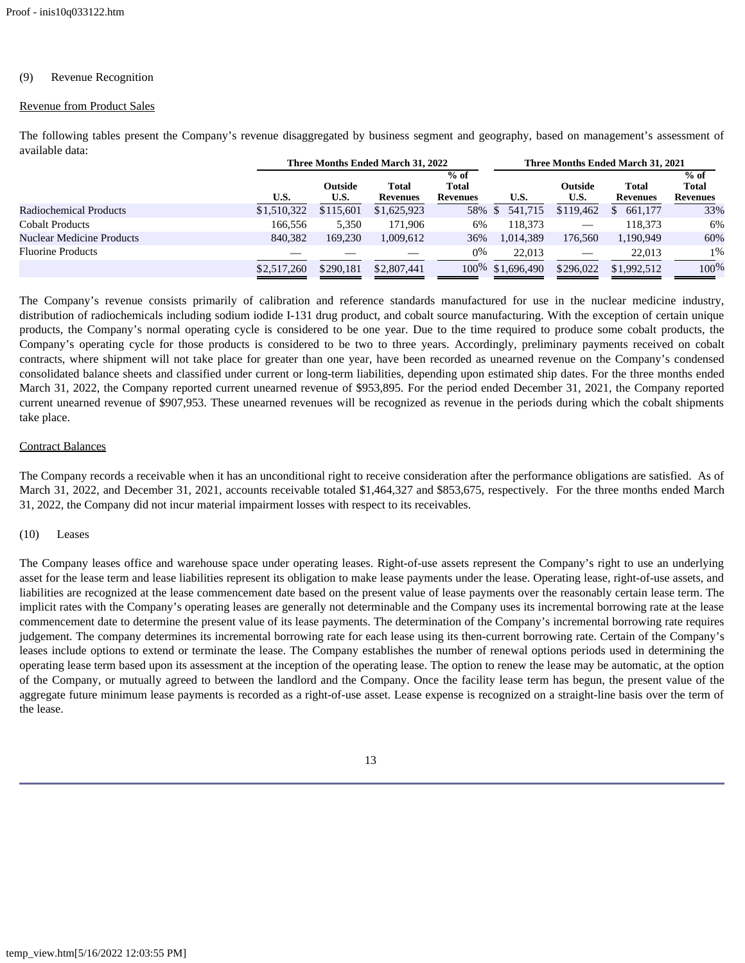## (9) Revenue Recognition

#### Revenue from Product Sales

**Three Months Ended March 31, 2022 Three Months Ended March 31, 2021 U.S. Outside U.S. Total Revenues % of Total Revenues U.S. Outside U.S. Total Revenues % of Total Revenues** Radiochemical Products  $$1,510,322$   $$115,601$   $$1,625,923$  58%  $$541,715$   $$119,462$   $$661,177$  33% Cobalt Products 166,556 5,350 171,906 6% 118,373 — 118,373 6% Nuclear Medicine Products 840,382 169,230 1,009,612 36% 1,014,389 176,560 1,190,949 60% Fluorine Products  $\qquad \qquad \qquad \qquad \qquad \qquad \qquad \qquad \qquad \qquad 0\%$   $\qquad \qquad 22,013$   $\qquad \qquad \qquad \qquad 22,013$   $\qquad \qquad 1\%$ \$2,517,260 \$290,181 \$2,807,441 100% \$1,696,490 \$296,022 \$1,992,512 100%

The following tables present the Company's revenue disaggregated by business segment and geography, based on management's assessment of available data:

The Company's revenue consists primarily of calibration and reference standards manufactured for use in the nuclear medicine industry, distribution of radiochemicals including sodium iodide I-131 drug product, and cobalt source manufacturing. With the exception of certain unique products, the Company's normal operating cycle is considered to be one year. Due to the time required to produce some cobalt products, the Company's operating cycle for those products is considered to be two to three years. Accordingly, preliminary payments received on cobalt contracts, where shipment will not take place for greater than one year, have been recorded as unearned revenue on the Company's condensed consolidated balance sheets and classified under current or long-term liabilities, depending upon estimated ship dates. For the three months ended March 31, 2022, the Company reported current unearned revenue of \$953,895. For the period ended December 31, 2021, the Company reported current unearned revenue of \$907,953. These unearned revenues will be recognized as revenue in the periods during which the cobalt shipments take place.

## Contract Balances

The Company records a receivable when it has an unconditional right to receive consideration after the performance obligations are satisfied. As of March 31, 2022, and December 31, 2021, accounts receivable totaled \$1,464,327 and \$853,675, respectively. For the three months ended March 31, 2022, the Company did not incur material impairment losses with respect to its receivables.

## (10) Leases

The Company leases office and warehouse space under operating leases. Right-of-use assets represent the Company's right to use an underlying asset for the lease term and lease liabilities represent its obligation to make lease payments under the lease. Operating lease, right-of-use assets, and liabilities are recognized at the lease commencement date based on the present value of lease payments over the reasonably certain lease term. The implicit rates with the Company's operating leases are generally not determinable and the Company uses its incremental borrowing rate at the lease commencement date to determine the present value of its lease payments. The determination of the Company's incremental borrowing rate requires judgement. The company determines its incremental borrowing rate for each lease using its then-current borrowing rate. Certain of the Company's leases include options to extend or terminate the lease. The Company establishes the number of renewal options periods used in determining the operating lease term based upon its assessment at the inception of the operating lease. The option to renew the lease may be automatic, at the option of the Company, or mutually agreed to between the landlord and the Company. Once the facility lease term has begun, the present value of the aggregate future minimum lease payments is recorded as a right-of-use asset. Lease expense is recognized on a straight-line basis over the term of the lease.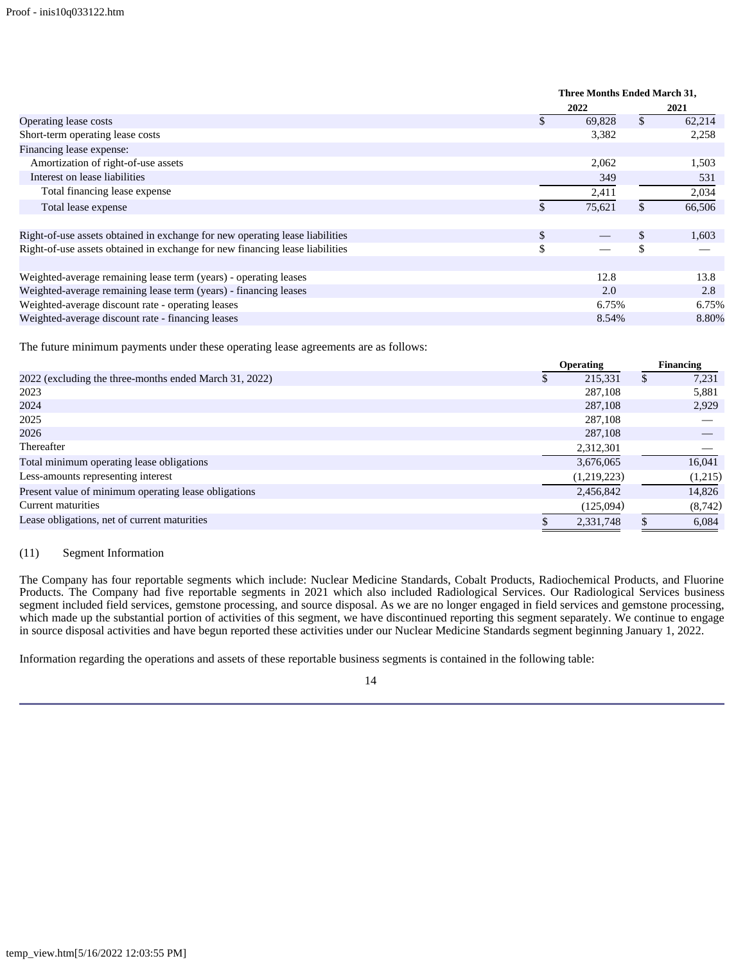|                                                                              | Three Months Ended March 31, |    |        |  |
|------------------------------------------------------------------------------|------------------------------|----|--------|--|
|                                                                              | 2022                         |    | 2021   |  |
| Operating lease costs                                                        | 69,828                       | \$ | 62,214 |  |
| Short-term operating lease costs                                             | 3,382                        |    | 2,258  |  |
| Financing lease expense:                                                     |                              |    |        |  |
| Amortization of right-of-use assets                                          | 2,062                        |    | 1,503  |  |
| Interest on lease liabilities                                                | 349                          |    | 531    |  |
| Total financing lease expense                                                | 2,411                        |    | 2,034  |  |
| Total lease expense                                                          | \$<br>75,621                 | \$ | 66,506 |  |
| Right-of-use assets obtained in exchange for new operating lease liabilities | \$                           | \$ | 1,603  |  |
| Right-of-use assets obtained in exchange for new financing lease liabilities | \$                           | \$ |        |  |
| Weighted-average remaining lease term (years) - operating leases             | 12.8                         |    | 13.8   |  |
| Weighted-average remaining lease term (years) - financing leases             | 2.0                          |    | 2.8    |  |
| Weighted-average discount rate - operating leases                            | 6.75%                        |    | 6.75%  |  |
| Weighted-average discount rate - financing leases                            | 8.54%                        |    | 8.80%  |  |

The future minimum payments under these operating lease agreements are as follows:

|                                                        | <b>Operating</b> |             | Financing |          |
|--------------------------------------------------------|------------------|-------------|-----------|----------|
| 2022 (excluding the three-months ended March 31, 2022) |                  | 215,331     | J.        | 7,231    |
| 2023                                                   |                  | 287,108     |           | 5,881    |
| 2024                                                   |                  | 287,108     |           | 2,929    |
| 2025                                                   |                  | 287,108     |           |          |
| 2026                                                   |                  | 287,108     |           |          |
| Thereafter                                             |                  | 2,312,301   |           |          |
| Total minimum operating lease obligations              |                  | 3,676,065   |           | 16,041   |
| Less-amounts representing interest                     |                  | (1,219,223) |           | (1,215)  |
| Present value of minimum operating lease obligations   |                  | 2,456,842   |           | 14,826   |
| Current maturities                                     |                  | (125,094)   |           | (8, 742) |
| Lease obligations, net of current maturities           |                  | 2,331,748   |           | 6,084    |

#### (11) Segment Information

The Company has four reportable segments which include: Nuclear Medicine Standards, Cobalt Products, Radiochemical Products, and Fluorine Products. The Company had five reportable segments in 2021 which also included Radiological Services. Our Radiological Services business segment included field services, gemstone processing, and source disposal. As we are no longer engaged in field services and gemstone processing, which made up the substantial portion of activities of this segment, we have discontinued reporting this segment separately. We continue to engage in source disposal activities and have begun reported these activities under our Nuclear Medicine Standards segment beginning January 1, 2022.

Information regarding the operations and assets of these reportable business segments is contained in the following table: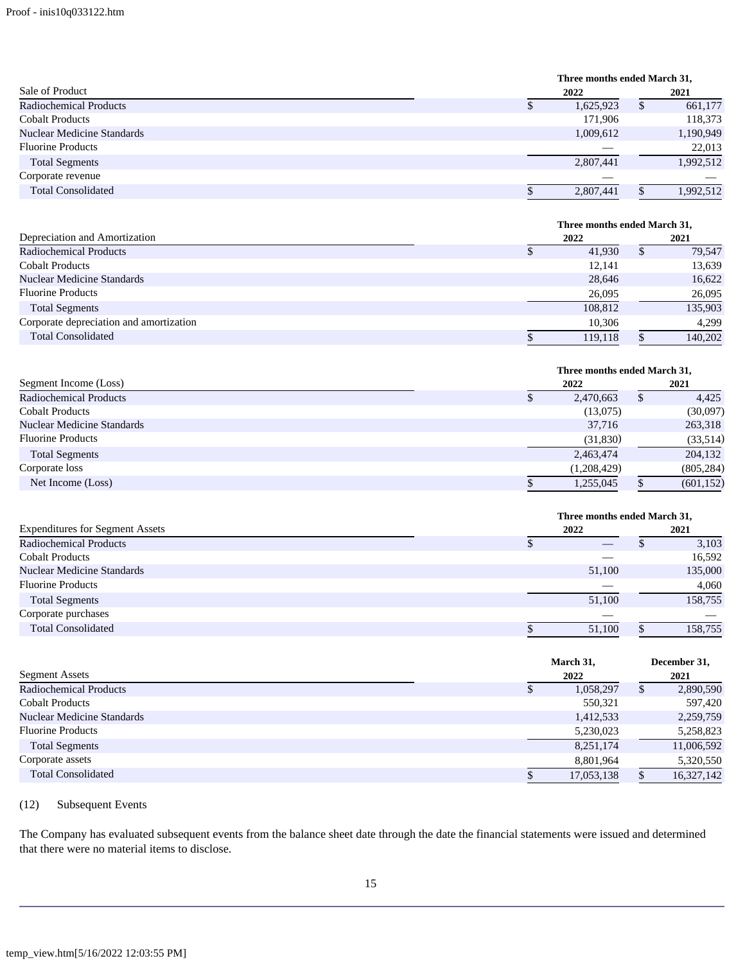|                               |      | Three months ended March 31, |           |  |  |
|-------------------------------|------|------------------------------|-----------|--|--|
| Sale of Product               | 2022 |                              | 2021      |  |  |
| <b>Radiochemical Products</b> | J    | 1,625,923                    | 661,177   |  |  |
| <b>Cobalt Products</b>        |      | 171,906                      | 118,373   |  |  |
| Nuclear Medicine Standards    |      | 1,009,612                    | 1,190,949 |  |  |
| <b>Fluorine Products</b>      |      |                              | 22,013    |  |  |
| <b>Total Segments</b>         |      | 2,807,441                    | 1,992,512 |  |  |
| Corporate revenue             |      | ---                          |           |  |  |
| <b>Total Consolidated</b>     | S    | 2.807.441                    | 1,992,512 |  |  |

|                                         | Three months ended March 31, |   |         |  |  |  |
|-----------------------------------------|------------------------------|---|---------|--|--|--|
| Depreciation and Amortization           | 2022                         |   | 2021    |  |  |  |
| <b>Radiochemical Products</b>           | 41.930                       | S | 79.547  |  |  |  |
| <b>Cobalt Products</b>                  | 12.141                       |   | 13,639  |  |  |  |
| Nuclear Medicine Standards              | 28,646                       |   | 16,622  |  |  |  |
| <b>Fluorine Products</b>                | 26,095                       |   | 26,095  |  |  |  |
| <b>Total Segments</b>                   | 108,812                      |   | 135,903 |  |  |  |
| Corporate depreciation and amortization | 10,306                       |   | 4.299   |  |  |  |
| <b>Total Consolidated</b>               | 119.118<br>S                 |   | 140,202 |  |  |  |

| Three months ended March 31, |             |      |            |  |  |
|------------------------------|-------------|------|------------|--|--|
| 2022                         |             | 2021 |            |  |  |
|                              | 2,470,663   | S    | 4,425      |  |  |
|                              | (13,075)    |      | (30,097)   |  |  |
|                              | 37,716      |      | 263,318    |  |  |
|                              | (31,830)    |      | (33,514)   |  |  |
|                              | 2,463,474   |      | 204,132    |  |  |
|                              | (1,208,429) |      | (805, 284) |  |  |
|                              | 1,255,045   |      | (601, 152) |  |  |
|                              |             |      |            |  |  |

|                                        | Three months ended March 31, |         |  |  |
|----------------------------------------|------------------------------|---------|--|--|
| <b>Expenditures for Segment Assets</b> | 2022                         | 2021    |  |  |
| <b>Radiochemical Products</b>          | $\qquad \qquad - \qquad$     | 3,103   |  |  |
| <b>Cobalt Products</b>                 |                              | 16,592  |  |  |
| Nuclear Medicine Standards             | 51,100                       | 135,000 |  |  |
| <b>Fluorine Products</b>               |                              | 4,060   |  |  |
| <b>Total Segments</b>                  | 51,100                       | 158,755 |  |  |
| Corporate purchases                    | <u>—</u>                     |         |  |  |
| <b>Total Consolidated</b>              | 51.100                       | 158,755 |  |  |

|                               | March 31,      | December 31,    |  |  |
|-------------------------------|----------------|-----------------|--|--|
| <b>Segment Assets</b>         | 2022           | 2021            |  |  |
| <b>Radiochemical Products</b> | 1,058,297<br>Φ | 2,890,590<br>ъĐ |  |  |
| <b>Cobalt Products</b>        | 550,321        | 597,420         |  |  |
| Nuclear Medicine Standards    | 1,412,533      | 2,259,759       |  |  |
| <b>Fluorine Products</b>      | 5,230,023      | 5,258,823       |  |  |
| <b>Total Segments</b>         | 8,251,174      | 11,006,592      |  |  |
| Corporate assets              | 8,801,964      | 5,320,550       |  |  |
| <b>Total Consolidated</b>     | 17,053,138     | 16,327,142      |  |  |

# (12) Subsequent Events

The Company has evaluated subsequent events from the balance sheet date through the date the financial statements were issued and determined that there were no material items to disclose.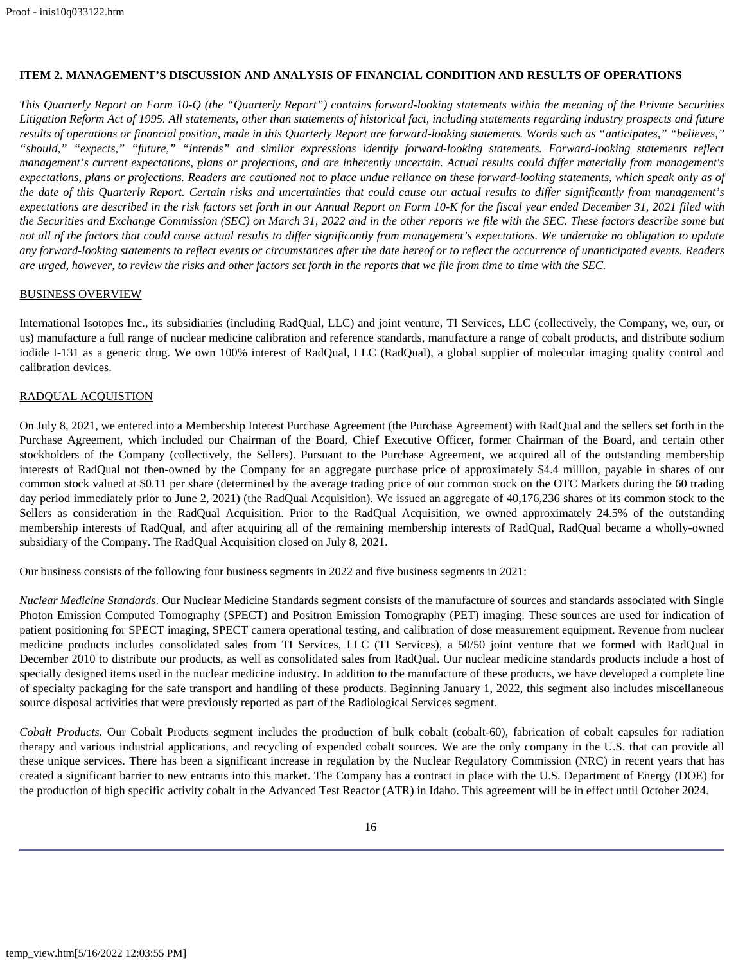# <span id="page-15-0"></span>**ITEM 2. MANAGEMENT'S DISCUSSION AND ANALYSIS OF FINANCIAL CONDITION AND RESULTS OF OPERATIONS**

*This Quarterly Report on Form 10-Q (the "Quarterly Report") contains forward-looking statements within the meaning of the Private Securities Litigation Reform Act of 1995. All statements, other than statements of historical fact, including statements regarding industry prospects and future results of operations or financial position, made in this Quarterly Report are forward-looking statements. Words such as "anticipates," "believes," "should," "expects," "future," "intends" and similar expressions identify forward-looking statements. Forward-looking statements reflect management's current expectations, plans or projections, and are inherently uncertain. Actual results could differ materially from management's expectations, plans or projections. Readers are cautioned not to place undue reliance on these forward-looking statements, which speak only as of the date of this Quarterly Report. Certain risks and uncertainties that could cause our actual results to differ significantly from management's expectations are described in the risk factors set forth in our Annual Report on Form 10-K for the fiscal year ended December 31, 2021 filed with the Securities and Exchange Commission (SEC) on March 31, 2022 and in the other reports we file with the SEC. These factors describe some but not all of the factors that could cause actual results to differ significantly from management's expectations. We undertake no obligation to update any forward-looking statements to reflect events or circumstances after the date hereof or to reflect the occurrence of unanticipated events. Readers are urged, however, to review the risks and other factors set forth in the reports that we file from time to time with the SEC.*

## BUSINESS OVERVIEW

International Isotopes Inc., its subsidiaries (including RadQual, LLC) and joint venture, TI Services, LLC (collectively, the Company, we, our, or us) manufacture a full range of nuclear medicine calibration and reference standards, manufacture a range of cobalt products, and distribute sodium iodide I-131 as a generic drug. We own 100% interest of RadQual, LLC (RadQual), a global supplier of molecular imaging quality control and calibration devices.

# RADQUAL ACQUISTION

On July 8, 2021, we entered into a Membership Interest Purchase Agreement (the Purchase Agreement) with RadQual and the sellers set forth in the Purchase Agreement, which included our Chairman of the Board, Chief Executive Officer, former Chairman of the Board, and certain other stockholders of the Company (collectively, the Sellers). Pursuant to the Purchase Agreement, we acquired all of the outstanding membership interests of RadQual not then-owned by the Company for an aggregate purchase price of approximately \$4.4 million, payable in shares of our common stock valued at \$0.11 per share (determined by the average trading price of our common stock on the OTC Markets during the 60 trading day period immediately prior to June 2, 2021) (the RadQual Acquisition). We issued an aggregate of 40,176,236 shares of its common stock to the Sellers as consideration in the RadQual Acquisition. Prior to the RadQual Acquisition, we owned approximately 24.5% of the outstanding membership interests of RadQual, and after acquiring all of the remaining membership interests of RadQual, RadQual became a wholly-owned subsidiary of the Company. The RadQual Acquisition closed on July 8, 2021.

Our business consists of the following four business segments in 2022 and five business segments in 2021:

*Nuclear Medicine Standards*. Our Nuclear Medicine Standards segment consists of the manufacture of sources and standards associated with Single Photon Emission Computed Tomography (SPECT) and Positron Emission Tomography (PET) imaging. These sources are used for indication of patient positioning for SPECT imaging, SPECT camera operational testing, and calibration of dose measurement equipment. Revenue from nuclear medicine products includes consolidated sales from TI Services, LLC (TI Services), a 50/50 joint venture that we formed with RadQual in December 2010 to distribute our products, as well as consolidated sales from RadQual. Our nuclear medicine standards products include a host of specially designed items used in the nuclear medicine industry. In addition to the manufacture of these products, we have developed a complete line of specialty packaging for the safe transport and handling of these products. Beginning January 1, 2022, this segment also includes miscellaneous source disposal activities that were previously reported as part of the Radiological Services segment.

*Cobalt Products.* Our Cobalt Products segment includes the production of bulk cobalt (cobalt-60), fabrication of cobalt capsules for radiation therapy and various industrial applications, and recycling of expended cobalt sources. We are the only company in the U.S. that can provide all these unique services. There has been a significant increase in regulation by the Nuclear Regulatory Commission (NRC) in recent years that has created a significant barrier to new entrants into this market. The Company has a contract in place with the U.S. Department of Energy (DOE) for the production of high specific activity cobalt in the Advanced Test Reactor (ATR) in Idaho. This agreement will be in effect until October 2024.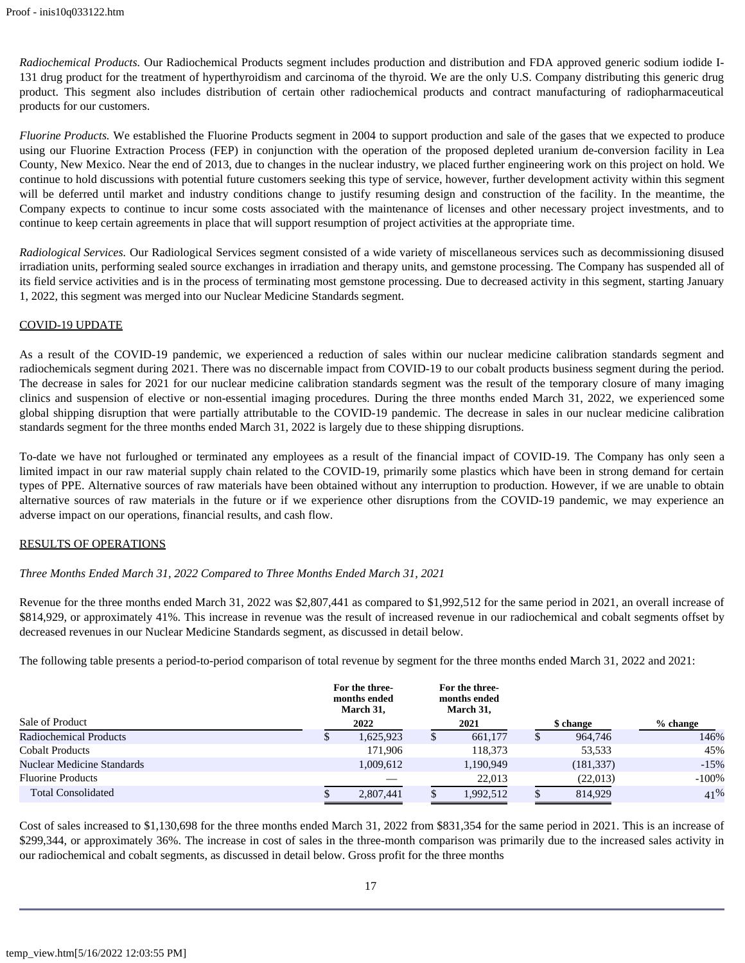*Radiochemical Products.* Our Radiochemical Products segment includes production and distribution and FDA approved generic sodium iodide I-131 drug product for the treatment of hyperthyroidism and carcinoma of the thyroid. We are the only U.S. Company distributing this generic drug product. This segment also includes distribution of certain other radiochemical products and contract manufacturing of radiopharmaceutical products for our customers.

*Fluorine Products.* We established the Fluorine Products segment in 2004 to support production and sale of the gases that we expected to produce using our Fluorine Extraction Process (FEP) in conjunction with the operation of the proposed depleted uranium de-conversion facility in Lea County, New Mexico. Near the end of 2013, due to changes in the nuclear industry, we placed further engineering work on this project on hold. We continue to hold discussions with potential future customers seeking this type of service, however, further development activity within this segment will be deferred until market and industry conditions change to justify resuming design and construction of the facility. In the meantime, the Company expects to continue to incur some costs associated with the maintenance of licenses and other necessary project investments, and to continue to keep certain agreements in place that will support resumption of project activities at the appropriate time.

*Radiological Services.* Our Radiological Services segment consisted of a wide variety of miscellaneous services such as decommissioning disused irradiation units, performing sealed source exchanges in irradiation and therapy units, and gemstone processing. The Company has suspended all of its field service activities and is in the process of terminating most gemstone processing. Due to decreased activity in this segment, starting January 1, 2022, this segment was merged into our Nuclear Medicine Standards segment.

# COVID-19 UPDATE

As a result of the COVID-19 pandemic, we experienced a reduction of sales within our nuclear medicine calibration standards segment and radiochemicals segment during 2021. There was no discernable impact from COVID-19 to our cobalt products business segment during the period. The decrease in sales for 2021 for our nuclear medicine calibration standards segment was the result of the temporary closure of many imaging clinics and suspension of elective or non-essential imaging procedures. During the three months ended March 31, 2022, we experienced some global shipping disruption that were partially attributable to the COVID-19 pandemic. The decrease in sales in our nuclear medicine calibration standards segment for the three months ended March 31, 2022 is largely due to these shipping disruptions.

To-date we have not furloughed or terminated any employees as a result of the financial impact of COVID-19. The Company has only seen a limited impact in our raw material supply chain related to the COVID-19, primarily some plastics which have been in strong demand for certain types of PPE. Alternative sources of raw materials have been obtained without any interruption to production. However, if we are unable to obtain alternative sources of raw materials in the future or if we experience other disruptions from the COVID-19 pandemic, we may experience an adverse impact on our operations, financial results, and cash flow.

## RESULTS OF OPERATIONS

# *Three Months Ended March 31, 2022 Compared to Three Months Ended March 31, 2021*

Revenue for the three months ended March 31, 2022 was \$2,807,441 as compared to \$1,992,512 for the same period in 2021, an overall increase of \$814,929, or approximately 41%. This increase in revenue was the result of increased revenue in our radiochemical and cobalt segments offset by decreased revenues in our Nuclear Medicine Standards segment, as discussed in detail below.

The following table presents a period-to-period comparison of total revenue by segment for the three months ended March 31, 2022 and 2021:

|                               |   | For the three-<br>months ended<br>March 31, |    | For the three-<br>months ended<br>March 31, |            |            |         |
|-------------------------------|---|---------------------------------------------|----|---------------------------------------------|------------|------------|---------|
| Sale of Product<br>2022       |   | 2021<br>\$ change                           |    |                                             | $%$ change |            |         |
| <b>Radiochemical Products</b> | Æ | 1,625,923                                   | P. | 661,177                                     |            | 964,746    | 146%    |
| <b>Cobalt Products</b>        |   | 171.906                                     |    | 118,373                                     |            | 53,533     | 45%     |
| Nuclear Medicine Standards    |   | 1,009,612                                   |    | 1,190,949                                   |            | (181, 337) | $-15%$  |
| <b>Fluorine Products</b>      |   |                                             |    | 22,013                                      |            | (22,013)   | $-100%$ |
| <b>Total Consolidated</b>     |   | 2,807,441                                   |    | 1,992,512                                   |            | 814.929    | 41%     |

Cost of sales increased to \$1,130,698 for the three months ended March 31, 2022 from \$831,354 for the same period in 2021. This is an increase of \$299,344, or approximately 36%. The increase in cost of sales in the three-month comparison was primarily due to the increased sales activity in our radiochemical and cobalt segments, as discussed in detail below. Gross profit for the three months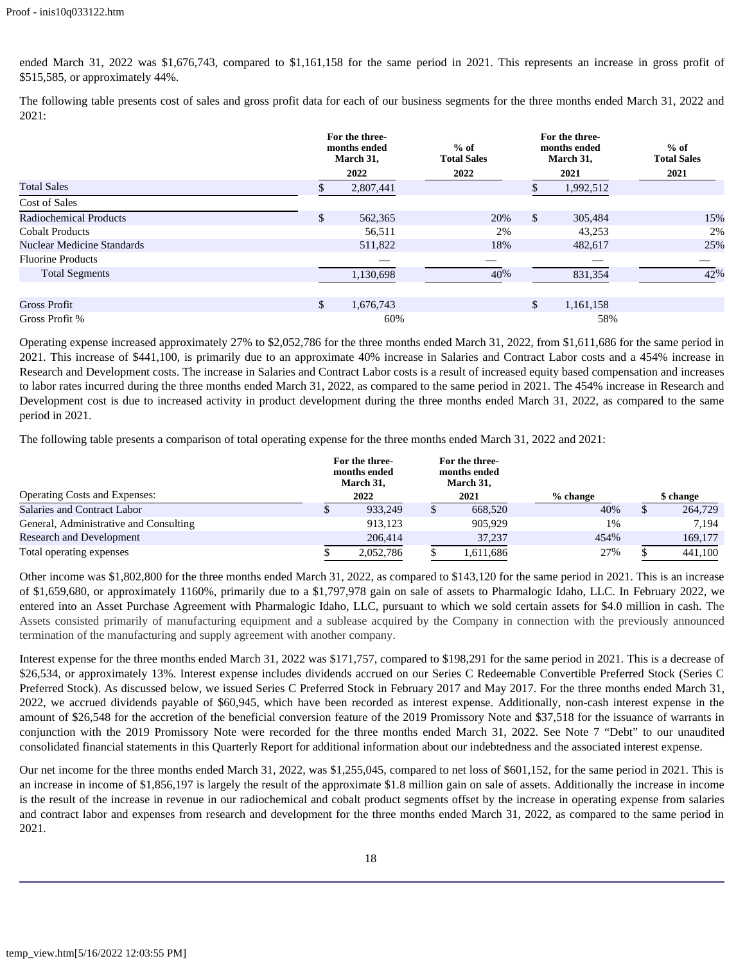ended March 31, 2022 was \$1,676,743, compared to \$1,161,158 for the same period in 2021. This represents an increase in gross profit of \$515,585, or approximately 44%.

The following table presents cost of sales and gross profit data for each of our business segments for the three months ended March 31, 2022 and 2021:

|                               |    | For the three-<br>months ended<br>March 31, | $%$ of<br><b>Total Sales</b> |              | For the three-<br>months ended<br>March 31, | $%$ of<br><b>Total Sales</b> |  |
|-------------------------------|----|---------------------------------------------|------------------------------|--------------|---------------------------------------------|------------------------------|--|
|                               |    | 2022                                        | 2022                         |              | 2021                                        | 2021                         |  |
| <b>Total Sales</b>            |    | 2,807,441                                   |                              |              | 1,992,512                                   |                              |  |
| Cost of Sales                 |    |                                             |                              |              |                                             |                              |  |
| <b>Radiochemical Products</b> | \$ | 562,365                                     | 20%                          | $\mathbb{S}$ | 305,484                                     | 15%                          |  |
| <b>Cobalt Products</b>        |    | 56,511                                      | 2%                           |              | 43,253                                      | 2%                           |  |
| Nuclear Medicine Standards    |    | 511,822                                     | 18%                          |              | 482,617                                     | 25%                          |  |
| <b>Fluorine Products</b>      |    |                                             |                              |              |                                             |                              |  |
| <b>Total Segments</b>         |    | 1,130,698                                   | 40%                          |              | 831,354                                     | 42%                          |  |
|                               |    |                                             |                              |              |                                             |                              |  |
| <b>Gross Profit</b>           | \$ | 1,676,743                                   |                              | \$           | 1,161,158                                   |                              |  |
| Gross Profit %                |    | 60%                                         |                              |              | 58%                                         |                              |  |

Operating expense increased approximately 27% to \$2,052,786 for the three months ended March 31, 2022, from \$1,611,686 for the same period in 2021. This increase of \$441,100, is primarily due to an approximate 40% increase in Salaries and Contract Labor costs and a 454% increase in Research and Development costs. The increase in Salaries and Contract Labor costs is a result of increased equity based compensation and increases to labor rates incurred during the three months ended March 31, 2022, as compared to the same period in 2021. The 454% increase in Research and Development cost is due to increased activity in product development during the three months ended March 31, 2022, as compared to the same period in 2021.

The following table presents a comparison of total operating expense for the three months ended March 31, 2022 and 2021:

|                                        | For the three-<br>months ended<br>March 31, |   | For the three-<br>months ended<br>March 31, |          |           |
|----------------------------------------|---------------------------------------------|---|---------------------------------------------|----------|-----------|
| <b>Operating Costs and Expenses:</b>   | 2022                                        |   | 2021                                        | % change | \$ change |
| Salaries and Contract Labor            | 933.249                                     | Φ | 668,520                                     | 40%      | 264,729   |
| General, Administrative and Consulting | 913.123                                     |   | 905.929                                     | 1%       | 7.194     |
| <b>Research and Development</b>        | 206,414                                     |   | 37.237                                      | 454%     | 169,177   |
| Total operating expenses               | 2,052,786                                   |   | 1,611,686                                   | 27%      | 441,100   |

Other income was \$1,802,800 for the three months ended March 31, 2022, as compared to \$143,120 for the same period in 2021. This is an increase of \$1,659,680, or approximately 1160%, primarily due to a \$1,797,978 gain on sale of assets to Pharmalogic Idaho, LLC. In February 2022, we entered into an Asset Purchase Agreement with Pharmalogic Idaho, LLC, pursuant to which we sold certain assets for \$4.0 million in cash. The Assets consisted primarily of manufacturing equipment and a sublease acquired by the Company in connection with the previously announced termination of the manufacturing and supply agreement with another company.

Interest expense for the three months ended March 31, 2022 was \$171,757, compared to \$198,291 for the same period in 2021. This is a decrease of \$26,534, or approximately 13%. Interest expense includes dividends accrued on our Series C Redeemable Convertible Preferred Stock (Series C Preferred Stock). As discussed below, we issued Series C Preferred Stock in February 2017 and May 2017. For the three months ended March 31, 2022, we accrued dividends payable of \$60,945, which have been recorded as interest expense. Additionally, non-cash interest expense in the amount of \$26,548 for the accretion of the beneficial conversion feature of the 2019 Promissory Note and \$37,518 for the issuance of warrants in conjunction with the 2019 Promissory Note were recorded for the three months ended March 31, 2022. See Note 7 "Debt" to our unaudited consolidated financial statements in this Quarterly Report for additional information about our indebtedness and the associated interest expense.

Our net income for the three months ended March 31, 2022, was \$1,255,045, compared to net loss of \$601,152, for the same period in 2021. This is an increase in income of \$1,856,197 is largely the result of the approximate \$1.8 million gain on sale of assets. Additionally the increase in income is the result of the increase in revenue in our radiochemical and cobalt product segments offset by the increase in operating expense from salaries and contract labor and expenses from research and development for the three months ended March 31, 2022, as compared to the same period in 2021.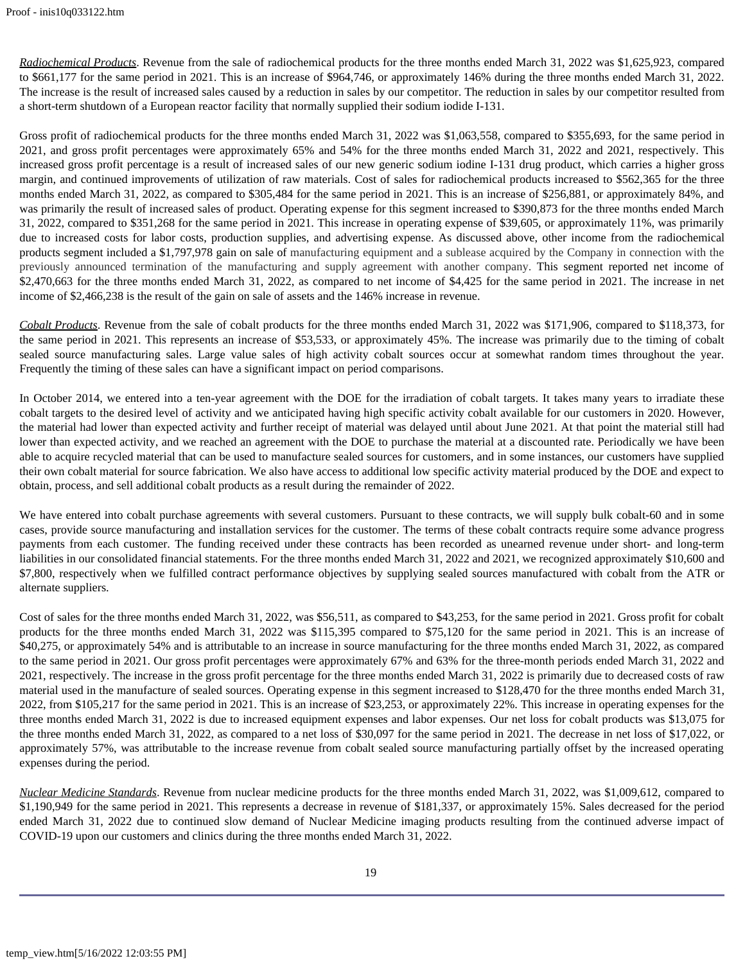*Radiochemical Products*. Revenue from the sale of radiochemical products for the three months ended March 31, 2022 was \$1,625,923, compared to \$661,177 for the same period in 2021. This is an increase of \$964,746, or approximately 146% during the three months ended March 31, 2022. The increase is the result of increased sales caused by a reduction in sales by our competitor. The reduction in sales by our competitor resulted from a short-term shutdown of a European reactor facility that normally supplied their sodium iodide I-131.

Gross profit of radiochemical products for the three months ended March 31, 2022 was \$1,063,558, compared to \$355,693, for the same period in 2021, and gross profit percentages were approximately 65% and 54% for the three months ended March 31, 2022 and 2021, respectively. This increased gross profit percentage is a result of increased sales of our new generic sodium iodine I-131 drug product, which carries a higher gross margin, and continued improvements of utilization of raw materials. Cost of sales for radiochemical products increased to \$562,365 for the three months ended March 31, 2022, as compared to \$305,484 for the same period in 2021. This is an increase of \$256,881, or approximately 84%, and was primarily the result of increased sales of product. Operating expense for this segment increased to \$390,873 for the three months ended March 31, 2022, compared to \$351,268 for the same period in 2021. This increase in operating expense of \$39,605, or approximately 11%, was primarily due to increased costs for labor costs, production supplies, and advertising expense. As discussed above, other income from the radiochemical products segment included a \$1,797,978 gain on sale of manufacturing equipment and a sublease acquired by the Company in connection with the previously announced termination of the manufacturing and supply agreement with another company. This segment reported net income of \$2,470,663 for the three months ended March 31, 2022, as compared to net income of \$4,425 for the same period in 2021. The increase in net income of \$2,466,238 is the result of the gain on sale of assets and the 146% increase in revenue.

*Cobalt Products*. Revenue from the sale of cobalt products for the three months ended March 31, 2022 was \$171,906, compared to \$118,373, for the same period in 2021. This represents an increase of \$53,533, or approximately 45%. The increase was primarily due to the timing of cobalt sealed source manufacturing sales. Large value sales of high activity cobalt sources occur at somewhat random times throughout the year. Frequently the timing of these sales can have a significant impact on period comparisons.

In October 2014, we entered into a ten-year agreement with the DOE for the irradiation of cobalt targets. It takes many years to irradiate these cobalt targets to the desired level of activity and we anticipated having high specific activity cobalt available for our customers in 2020. However, the material had lower than expected activity and further receipt of material was delayed until about June 2021. At that point the material still had lower than expected activity, and we reached an agreement with the DOE to purchase the material at a discounted rate. Periodically we have been able to acquire recycled material that can be used to manufacture sealed sources for customers, and in some instances, our customers have supplied their own cobalt material for source fabrication. We also have access to additional low specific activity material produced by the DOE and expect to obtain, process, and sell additional cobalt products as a result during the remainder of 2022.

We have entered into cobalt purchase agreements with several customers. Pursuant to these contracts, we will supply bulk cobalt-60 and in some cases, provide source manufacturing and installation services for the customer. The terms of these cobalt contracts require some advance progress payments from each customer. The funding received under these contracts has been recorded as unearned revenue under short- and long-term liabilities in our consolidated financial statements. For the three months ended March 31, 2022 and 2021, we recognized approximately \$10,600 and \$7,800, respectively when we fulfilled contract performance objectives by supplying sealed sources manufactured with cobalt from the ATR or alternate suppliers.

Cost of sales for the three months ended March 31, 2022, was \$56,511, as compared to \$43,253, for the same period in 2021. Gross profit for cobalt products for the three months ended March 31, 2022 was \$115,395 compared to \$75,120 for the same period in 2021. This is an increase of \$40,275, or approximately 54% and is attributable to an increase in source manufacturing for the three months ended March 31, 2022, as compared to the same period in 2021. Our gross profit percentages were approximately 67% and 63% for the three-month periods ended March 31, 2022 and 2021, respectively. The increase in the gross profit percentage for the three months ended March 31, 2022 is primarily due to decreased costs of raw material used in the manufacture of sealed sources. Operating expense in this segment increased to \$128,470 for the three months ended March 31, 2022, from \$105,217 for the same period in 2021. This is an increase of \$23,253, or approximately 22%. This increase in operating expenses for the three months ended March 31, 2022 is due to increased equipment expenses and labor expenses. Our net loss for cobalt products was \$13,075 for the three months ended March 31, 2022, as compared to a net loss of \$30,097 for the same period in 2021. The decrease in net loss of \$17,022, or approximately 57%, was attributable to the increase revenue from cobalt sealed source manufacturing partially offset by the increased operating expenses during the period.

*Nuclear Medicine Standards*. Revenue from nuclear medicine products for the three months ended March 31, 2022, was \$1,009,612, compared to \$1,190,949 for the same period in 2021. This represents a decrease in revenue of \$181,337, or approximately 15%. Sales decreased for the period ended March 31, 2022 due to continued slow demand of Nuclear Medicine imaging products resulting from the continued adverse impact of COVID-19 upon our customers and clinics during the three months ended March 31, 2022.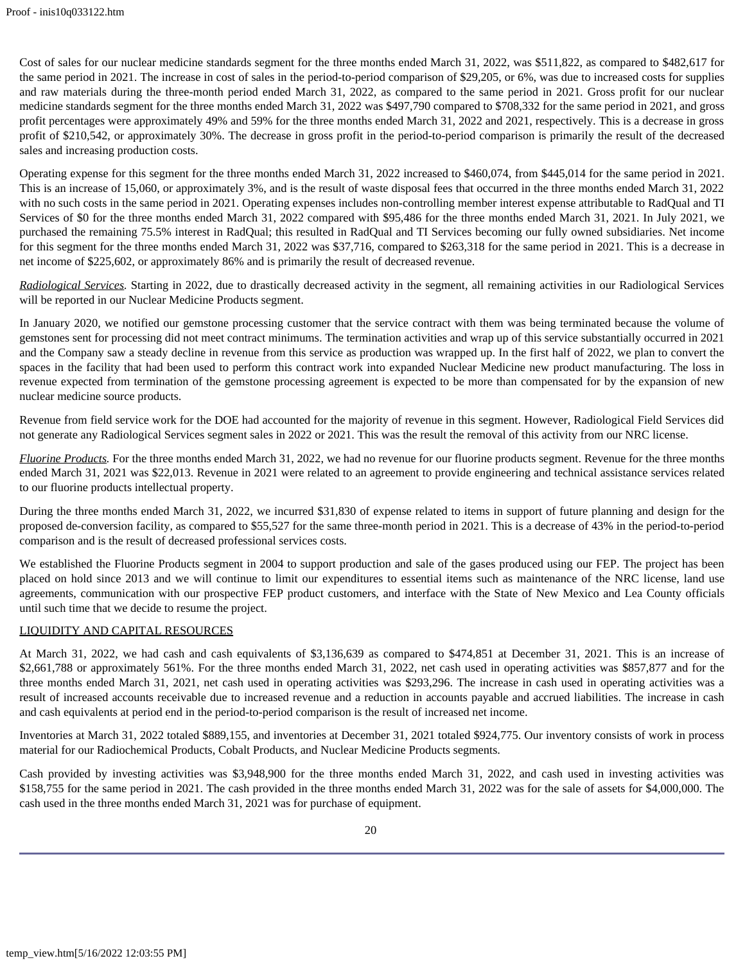Cost of sales for our nuclear medicine standards segment for the three months ended March 31, 2022, was \$511,822, as compared to \$482,617 for the same period in 2021. The increase in cost of sales in the period-to-period comparison of \$29,205, or 6%, was due to increased costs for supplies and raw materials during the three-month period ended March 31, 2022, as compared to the same period in 2021. Gross profit for our nuclear medicine standards segment for the three months ended March 31, 2022 was \$497,790 compared to \$708,332 for the same period in 2021, and gross profit percentages were approximately 49% and 59% for the three months ended March 31, 2022 and 2021, respectively. This is a decrease in gross profit of \$210,542, or approximately 30%. The decrease in gross profit in the period-to-period comparison is primarily the result of the decreased sales and increasing production costs.

Operating expense for this segment for the three months ended March 31, 2022 increased to \$460,074, from \$445,014 for the same period in 2021. This is an increase of 15,060, or approximately 3%, and is the result of waste disposal fees that occurred in the three months ended March 31, 2022 with no such costs in the same period in 2021. Operating expenses includes non-controlling member interest expense attributable to RadQual and TI Services of \$0 for the three months ended March 31, 2022 compared with \$95,486 for the three months ended March 31, 2021. In July 2021, we purchased the remaining 75.5% interest in RadQual; this resulted in RadQual and TI Services becoming our fully owned subsidiaries. Net income for this segment for the three months ended March 31, 2022 was \$37,716, compared to \$263,318 for the same period in 2021. This is a decrease in net income of \$225,602, or approximately 86% and is primarily the result of decreased revenue.

*Radiological Services.* Starting in 2022, due to drastically decreased activity in the segment, all remaining activities in our Radiological Services will be reported in our Nuclear Medicine Products segment.

In January 2020, we notified our gemstone processing customer that the service contract with them was being terminated because the volume of gemstones sent for processing did not meet contract minimums. The termination activities and wrap up of this service substantially occurred in 2021 and the Company saw a steady decline in revenue from this service as production was wrapped up. In the first half of 2022, we plan to convert the spaces in the facility that had been used to perform this contract work into expanded Nuclear Medicine new product manufacturing. The loss in revenue expected from termination of the gemstone processing agreement is expected to be more than compensated for by the expansion of new nuclear medicine source products.

Revenue from field service work for the DOE had accounted for the majority of revenue in this segment. However, Radiological Field Services did not generate any Radiological Services segment sales in 2022 or 2021. This was the result the removal of this activity from our NRC license.

*Fluorine Products.* For the three months ended March 31, 2022, we had no revenue for our fluorine products segment. Revenue for the three months ended March 31, 2021 was \$22,013. Revenue in 2021 were related to an agreement to provide engineering and technical assistance services related to our fluorine products intellectual property.

During the three months ended March 31, 2022, we incurred \$31,830 of expense related to items in support of future planning and design for the proposed de-conversion facility, as compared to \$55,527 for the same three-month period in 2021. This is a decrease of 43% in the period-to-period comparison and is the result of decreased professional services costs.

We established the Fluorine Products segment in 2004 to support production and sale of the gases produced using our FEP. The project has been placed on hold since 2013 and we will continue to limit our expenditures to essential items such as maintenance of the NRC license, land use agreements, communication with our prospective FEP product customers, and interface with the State of New Mexico and Lea County officials until such time that we decide to resume the project.

## LIQUIDITY AND CAPITAL RESOURCES

At March 31, 2022, we had cash and cash equivalents of \$3,136,639 as compared to \$474,851 at December 31, 2021. This is an increase of \$2,661,788 or approximately 561%. For the three months ended March 31, 2022, net cash used in operating activities was \$857,877 and for the three months ended March 31, 2021, net cash used in operating activities was \$293,296. The increase in cash used in operating activities was a result of increased accounts receivable due to increased revenue and a reduction in accounts payable and accrued liabilities. The increase in cash and cash equivalents at period end in the period-to-period comparison is the result of increased net income.

Inventories at March 31, 2022 totaled \$889,155, and inventories at December 31, 2021 totaled \$924,775. Our inventory consists of work in process material for our Radiochemical Products, Cobalt Products, and Nuclear Medicine Products segments.

Cash provided by investing activities was \$3,948,900 for the three months ended March 31, 2022, and cash used in investing activities was \$158,755 for the same period in 2021. The cash provided in the three months ended March 31, 2022 was for the sale of assets for \$4,000,000. The cash used in the three months ended March 31, 2021 was for purchase of equipment.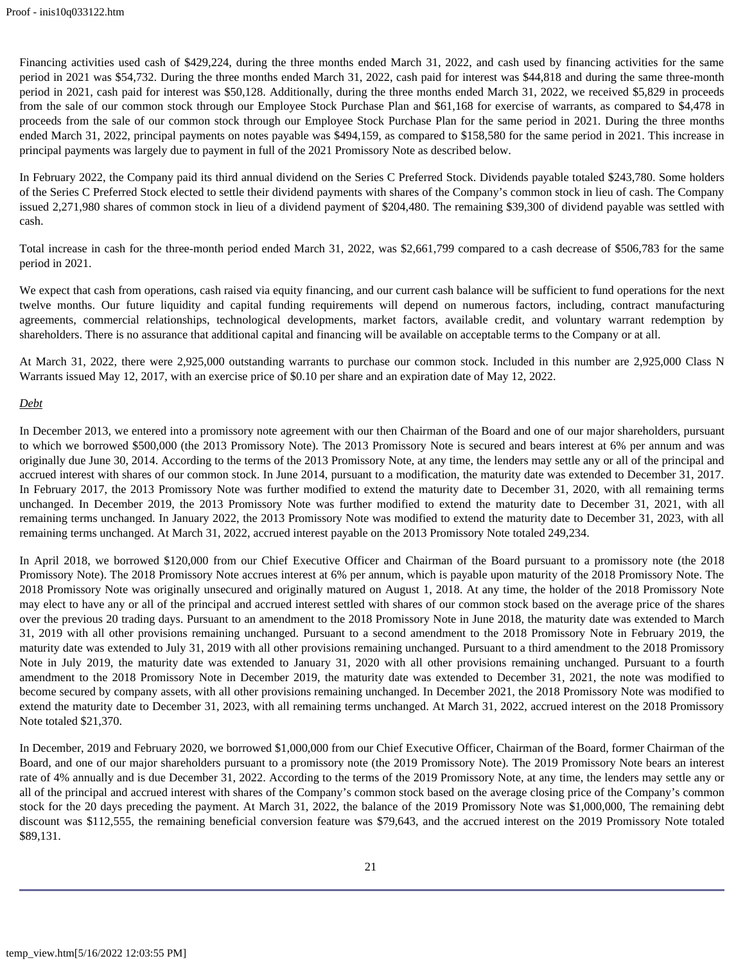Financing activities used cash of \$429,224, during the three months ended March 31, 2022, and cash used by financing activities for the same period in 2021 was \$54,732. During the three months ended March 31, 2022, cash paid for interest was \$44,818 and during the same three-month period in 2021, cash paid for interest was \$50,128. Additionally, during the three months ended March 31, 2022, we received \$5,829 in proceeds from the sale of our common stock through our Employee Stock Purchase Plan and \$61,168 for exercise of warrants, as compared to \$4,478 in proceeds from the sale of our common stock through our Employee Stock Purchase Plan for the same period in 2021. During the three months ended March 31, 2022, principal payments on notes payable was \$494,159, as compared to \$158,580 for the same period in 2021. This increase in principal payments was largely due to payment in full of the 2021 Promissory Note as described below.

In February 2022, the Company paid its third annual dividend on the Series C Preferred Stock. Dividends payable totaled \$243,780. Some holders of the Series C Preferred Stock elected to settle their dividend payments with shares of the Company's common stock in lieu of cash. The Company issued 2,271,980 shares of common stock in lieu of a dividend payment of \$204,480. The remaining \$39,300 of dividend payable was settled with cash.

Total increase in cash for the three-month period ended March 31, 2022, was \$2,661,799 compared to a cash decrease of \$506,783 for the same period in 2021.

We expect that cash from operations, cash raised via equity financing, and our current cash balance will be sufficient to fund operations for the next twelve months. Our future liquidity and capital funding requirements will depend on numerous factors, including, contract manufacturing agreements, commercial relationships, technological developments, market factors, available credit, and voluntary warrant redemption by shareholders. There is no assurance that additional capital and financing will be available on acceptable terms to the Company or at all.

At March 31, 2022, there were 2,925,000 outstanding warrants to purchase our common stock. Included in this number are 2,925,000 Class N Warrants issued May 12, 2017, with an exercise price of \$0.10 per share and an expiration date of May 12, 2022.

## *Debt*

In December 2013, we entered into a promissory note agreement with our then Chairman of the Board and one of our major shareholders, pursuant to which we borrowed \$500,000 (the 2013 Promissory Note). The 2013 Promissory Note is secured and bears interest at 6% per annum and was originally due June 30, 2014. According to the terms of the 2013 Promissory Note, at any time, the lenders may settle any or all of the principal and accrued interest with shares of our common stock. In June 2014, pursuant to a modification, the maturity date was extended to December 31, 2017. In February 2017, the 2013 Promissory Note was further modified to extend the maturity date to December 31, 2020, with all remaining terms unchanged. In December 2019, the 2013 Promissory Note was further modified to extend the maturity date to December 31, 2021, with all remaining terms unchanged. In January 2022, the 2013 Promissory Note was modified to extend the maturity date to December 31, 2023, with all remaining terms unchanged. At March 31, 2022, accrued interest payable on the 2013 Promissory Note totaled 249,234.

In April 2018, we borrowed \$120,000 from our Chief Executive Officer and Chairman of the Board pursuant to a promissory note (the 2018 Promissory Note). The 2018 Promissory Note accrues interest at 6% per annum, which is payable upon maturity of the 2018 Promissory Note. The 2018 Promissory Note was originally unsecured and originally matured on August 1, 2018. At any time, the holder of the 2018 Promissory Note may elect to have any or all of the principal and accrued interest settled with shares of our common stock based on the average price of the shares over the previous 20 trading days. Pursuant to an amendment to the 2018 Promissory Note in June 2018, the maturity date was extended to March 31, 2019 with all other provisions remaining unchanged. Pursuant to a second amendment to the 2018 Promissory Note in February 2019, the maturity date was extended to July 31, 2019 with all other provisions remaining unchanged. Pursuant to a third amendment to the 2018 Promissory Note in July 2019, the maturity date was extended to January 31, 2020 with all other provisions remaining unchanged. Pursuant to a fourth amendment to the 2018 Promissory Note in December 2019, the maturity date was extended to December 31, 2021, the note was modified to become secured by company assets, with all other provisions remaining unchanged. In December 2021, the 2018 Promissory Note was modified to extend the maturity date to December 31, 2023, with all remaining terms unchanged. At March 31, 2022, accrued interest on the 2018 Promissory Note totaled \$21,370.

In December, 2019 and February 2020, we borrowed \$1,000,000 from our Chief Executive Officer, Chairman of the Board, former Chairman of the Board, and one of our major shareholders pursuant to a promissory note (the 2019 Promissory Note). The 2019 Promissory Note bears an interest rate of 4% annually and is due December 31, 2022. According to the terms of the 2019 Promissory Note, at any time, the lenders may settle any or all of the principal and accrued interest with shares of the Company's common stock based on the average closing price of the Company's common stock for the 20 days preceding the payment. At March 31, 2022, the balance of the 2019 Promissory Note was \$1,000,000, The remaining debt discount was \$112,555, the remaining beneficial conversion feature was \$79,643, and the accrued interest on the 2019 Promissory Note totaled \$89,131.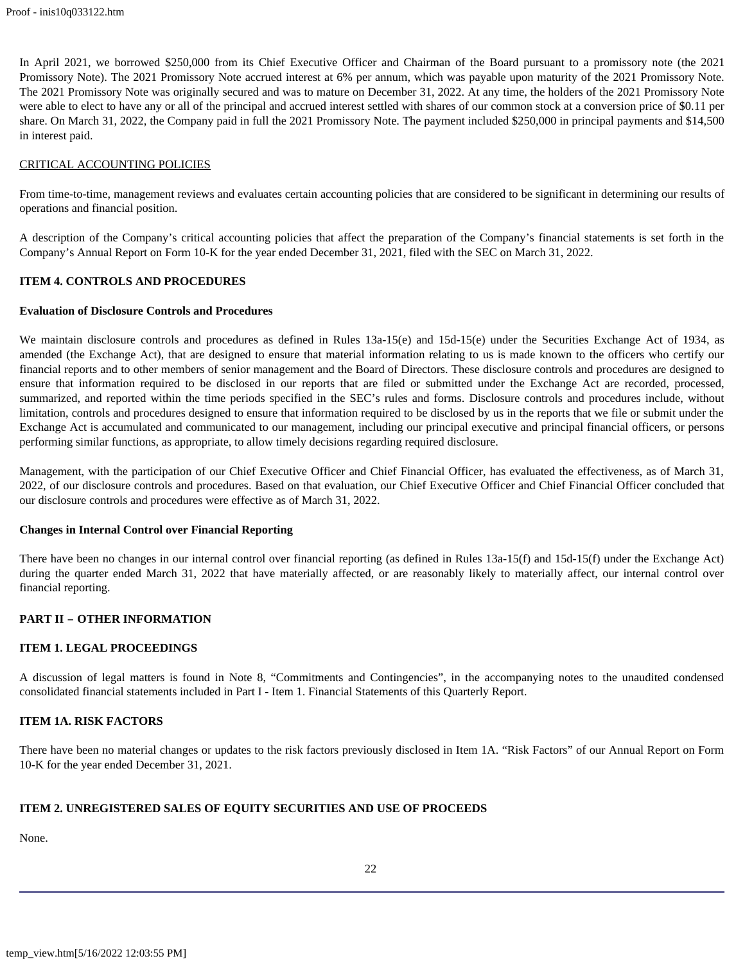In April 2021, we borrowed \$250,000 from its Chief Executive Officer and Chairman of the Board pursuant to a promissory note (the 2021 Promissory Note). The 2021 Promissory Note accrued interest at 6% per annum, which was payable upon maturity of the 2021 Promissory Note. The 2021 Promissory Note was originally secured and was to mature on December 31, 2022. At any time, the holders of the 2021 Promissory Note were able to elect to have any or all of the principal and accrued interest settled with shares of our common stock at a conversion price of \$0.11 per share. On March 31, 2022, the Company paid in full the 2021 Promissory Note. The payment included \$250,000 in principal payments and \$14,500 in interest paid.

# CRITICAL ACCOUNTING POLICIES

From time-to-time, management reviews and evaluates certain accounting policies that are considered to be significant in determining our results of operations and financial position.

A description of the Company's critical accounting policies that affect the preparation of the Company's financial statements is set forth in the Company's Annual Report on Form 10-K for the year ended December 31, 2021, filed with the SEC on March 31, 2022.

# <span id="page-21-0"></span>**ITEM 4. CONTROLS AND PROCEDURES**

## **Evaluation of Disclosure Controls and Procedures**

We maintain disclosure controls and procedures as defined in Rules 13a-15(e) and 15d-15(e) under the Securities Exchange Act of 1934, as amended (the Exchange Act), that are designed to ensure that material information relating to us is made known to the officers who certify our financial reports and to other members of senior management and the Board of Directors. These disclosure controls and procedures are designed to ensure that information required to be disclosed in our reports that are filed or submitted under the Exchange Act are recorded, processed, summarized, and reported within the time periods specified in the SEC's rules and forms. Disclosure controls and procedures include, without limitation, controls and procedures designed to ensure that information required to be disclosed by us in the reports that we file or submit under the Exchange Act is accumulated and communicated to our management, including our principal executive and principal financial officers, or persons performing similar functions, as appropriate, to allow timely decisions regarding required disclosure.

Management, with the participation of our Chief Executive Officer and Chief Financial Officer, has evaluated the effectiveness, as of March 31, 2022, of our disclosure controls and procedures. Based on that evaluation, our Chief Executive Officer and Chief Financial Officer concluded that our disclosure controls and procedures were effective as of March 31, 2022.

## **Changes in Internal Control over Financial Reporting**

There have been no changes in our internal control over financial reporting (as defined in Rules 13a-15(f) and 15d-15(f) under the Exchange Act) during the quarter ended March 31, 2022 that have materially affected, or are reasonably likely to materially affect, our internal control over financial reporting.

## **PART II – OTHER INFORMATION**

## **ITEM 1. LEGAL PROCEEDINGS**

A discussion of legal matters is found in Note 8, "Commitments and Contingencies", in the accompanying notes to the unaudited condensed consolidated financial statements included in Part I - Item 1. Financial Statements of this Quarterly Report.

# **ITEM 1A. RISK FACTORS**

There have been no material changes or updates to the risk factors previously disclosed in Item 1A. "Risk Factors" of our Annual Report on Form 10-K for the year ended December 31, 2021.

## **ITEM 2. UNREGISTERED SALES OF EQUITY SECURITIES AND USE OF PROCEEDS**

None.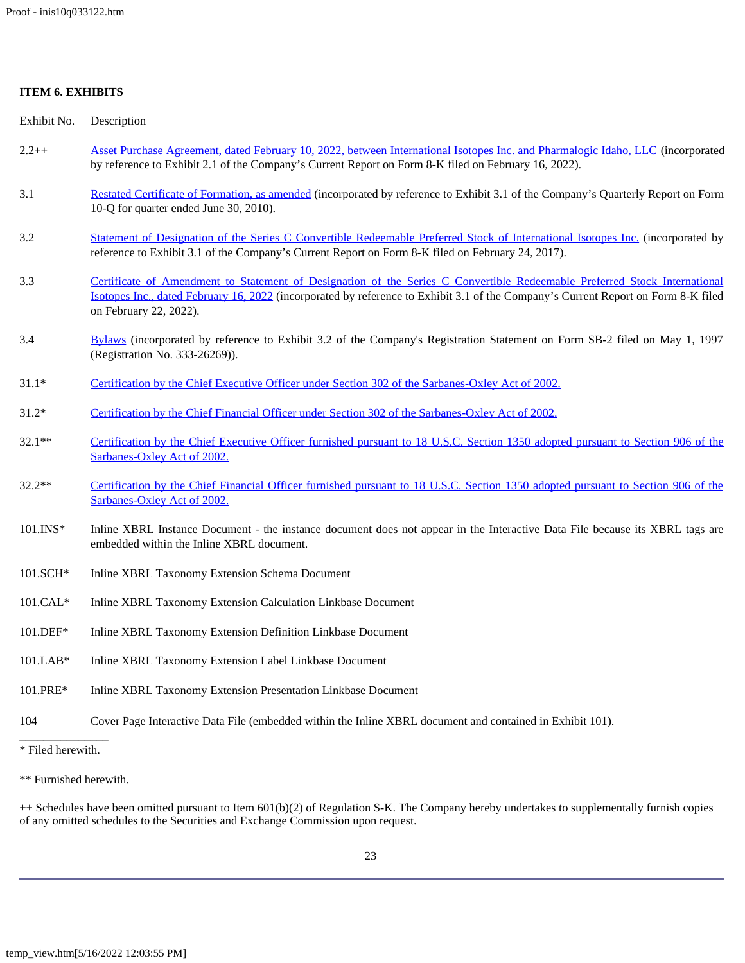# **ITEM 6. EXHIBITS**

| Exhibit No.            | Description                                                                                                                                                                                                                                                                               |
|------------------------|-------------------------------------------------------------------------------------------------------------------------------------------------------------------------------------------------------------------------------------------------------------------------------------------|
| $2.2++$                | Asset Purchase Agreement, dated February 10, 2022, between International Isotopes Inc. and Pharmalogic Idaho, LLC (incorporated<br>by reference to Exhibit 2.1 of the Company's Current Report on Form 8-K filed on February 16, 2022).                                                   |
| 3.1                    | Restated Certificate of Formation, as amended (incorporated by reference to Exhibit 3.1 of the Company's Quarterly Report on Form<br>10-Q for quarter ended June 30, 2010).                                                                                                               |
| 3.2                    | Statement of Designation of the Series C Convertible Redeemable Preferred Stock of International Isotopes Inc. (incorporated by<br>reference to Exhibit 3.1 of the Company's Current Report on Form 8-K filed on February 24, 2017).                                                      |
| 3.3                    | Certificate of Amendment to Statement of Designation of the Series C Convertible Redeemable Preferred Stock International<br>Isotopes Inc., dated February 16, 2022 (incorporated by reference to Exhibit 3.1 of the Company's Current Report on Form 8-K filed<br>on February 22, 2022). |
| 3.4                    | Bylaws (incorporated by reference to Exhibit 3.2 of the Company's Registration Statement on Form SB-2 filed on May 1, 1997<br>(Registration No. 333-26269)).                                                                                                                              |
| $31.1*$                | Certification by the Chief Executive Officer under Section 302 of the Sarbanes-Oxley Act of 2002.                                                                                                                                                                                         |
| $31.2*$                | Certification by the Chief Financial Officer under Section 302 of the Sarbanes-Oxley Act of 2002.                                                                                                                                                                                         |
| $32.1**$               | Certification by the Chief Executive Officer furnished pursuant to 18 U.S.C. Section 1350 adopted pursuant to Section 906 of the<br>Sarbanes-Oxley Act of 2002.                                                                                                                           |
| 32.2**                 | Certification by the Chief Financial Officer furnished pursuant to 18 U.S.C. Section 1350 adopted pursuant to Section 906 of the<br>Sarbanes-Oxley Act of 2002.                                                                                                                           |
| 101.INS*               | Inline XBRL Instance Document - the instance document does not appear in the Interactive Data File because its XBRL tags are<br>embedded within the Inline XBRL document.                                                                                                                 |
| 101.SCH*               | Inline XBRL Taxonomy Extension Schema Document                                                                                                                                                                                                                                            |
| $101.CAL*$             | Inline XBRL Taxonomy Extension Calculation Linkbase Document                                                                                                                                                                                                                              |
| 101.DEF*               | Inline XBRL Taxonomy Extension Definition Linkbase Document                                                                                                                                                                                                                               |
| $101.LAB*$             | Inline XBRL Taxonomy Extension Label Linkbase Document                                                                                                                                                                                                                                    |
| 101.PRE*               | Inline XBRL Taxonomy Extension Presentation Linkbase Document                                                                                                                                                                                                                             |
| 104                    | Cover Page Interactive Data File (embedded within the Inline XBRL document and contained in Exhibit 101).                                                                                                                                                                                 |
| * Filed herewith.      |                                                                                                                                                                                                                                                                                           |
| ** Furnished herewith. |                                                                                                                                                                                                                                                                                           |

++ Schedules have been omitted pursuant to Item 601(b)(2) of Regulation S-K. The Company hereby undertakes to supplementally furnish copies of any omitted schedules to the Securities and Exchange Commission upon request.